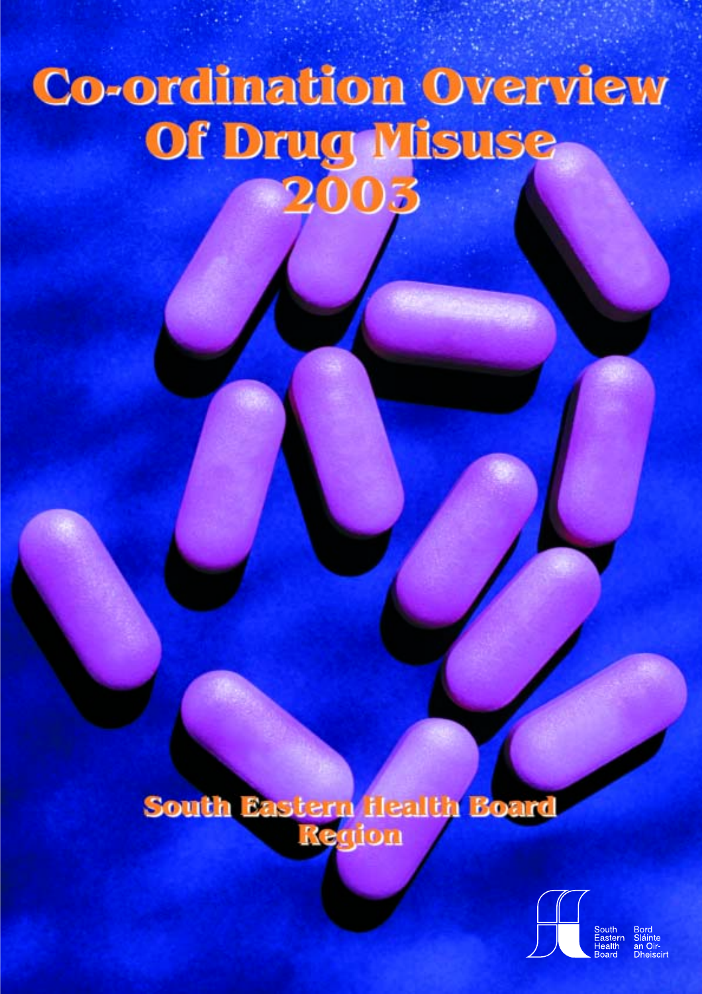## Co-ordination Overview Of Drug Misuse 2003

# South Eastern Health Board

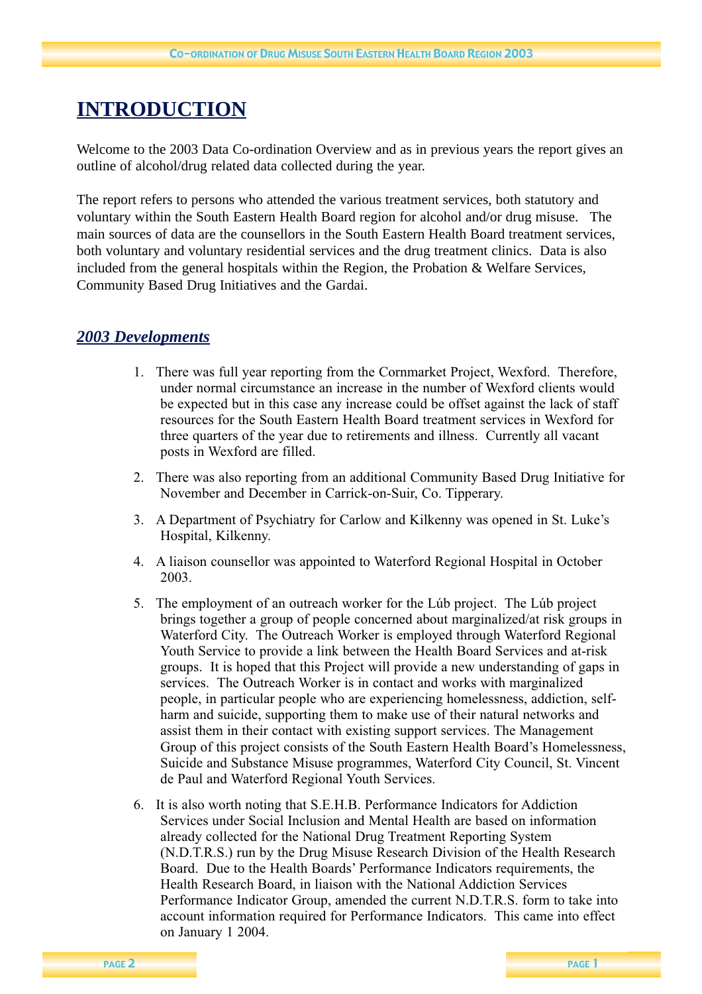## **INTRODUCTION**

Welcome to the 2003 Data Co-ordination Overview and as in previous years the report gives an outline of alcohol/drug related data collected during the year.

The report refers to persons who attended the various treatment services, both statutory and voluntary within the South Eastern Health Board region for alcohol and/or drug misuse. The main sources of data are the counsellors in the South Eastern Health Board treatment services, both voluntary and voluntary residential services and the drug treatment clinics. Data is also included from the general hospitals within the Region, the Probation & Welfare Services, Community Based Drug Initiatives and the Gardai.

## *2003 Developments*

- 1. There was full year reporting from the Cornmarket Project, Wexford. Therefore, under normal circumstance an increase in the number of Wexford clients would be expected but in this case any increase could be offset against the lack of staff resources for the South Eastern Health Board treatment services in Wexford for three quarters of the year due to retirements and illness. Currently all vacant posts in Wexford are filled.
- 2. There was also reporting from an additional Community Based Drug Initiative for November and December in Carrick-on-Suir, Co. Tipperary.
- 3. A Department of Psychiatry for Carlow and Kilkenny was opened in St. Luke's Hospital, Kilkenny.
- 4. A liaison counsellor was appointed to Waterford Regional Hospital in October 2003.
- 5. The employment of an outreach worker for the Lúb project. The Lúb project brings together a group of people concerned about marginalized/at risk groups in Waterford City. The Outreach Worker is employed through Waterford Regional Youth Service to provide a link between the Health Board Services and at-risk groups. It is hoped that this Project will provide a new understanding of gaps in services. The Outreach Worker is in contact and works with marginalized people, in particular people who are experiencing homelessness, addiction, selfharm and suicide, supporting them to make use of their natural networks and assist them in their contact with existing support services. The Management Group of this project consists of the South Eastern Health Board's Homelessness, Suicide and Substance Misuse programmes, Waterford City Council, St. Vincent de Paul and Waterford Regional Youth Services.
- 6. It is also worth noting that S.E.H.B. Performance Indicators for Addiction Services under Social Inclusion and Mental Health are based on information already collected for the National Drug Treatment Reporting System (N.D.T.R.S.) run by the Drug Misuse Research Division of the Health Research Board. Due to the Health Boards' Performance Indicators requirements, the Health Research Board, in liaison with the National Addiction Services Performance Indicator Group, amended the current N.D.T.R.S. form to take into account information required for Performance Indicators. This came into effect on January 1 2004.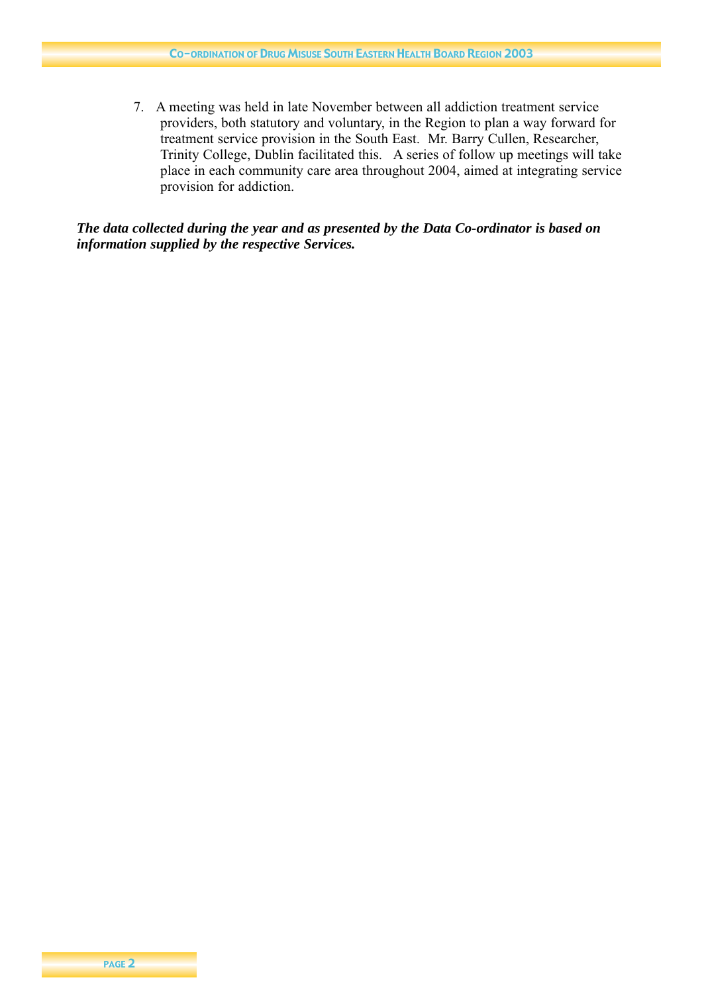7. A meeting was held in late November between all addiction treatment service providers, both statutory and voluntary, in the Region to plan a way forward for treatment service provision in the South East. Mr. Barry Cullen, Researcher, Trinity College, Dublin facilitated this. A series of follow up meetings will take place in each community care area throughout 2004, aimed at integrating service provision for addiction.

#### *The data collected during the year and as presented by the Data Co-ordinator is based on information supplied by the respective Services.*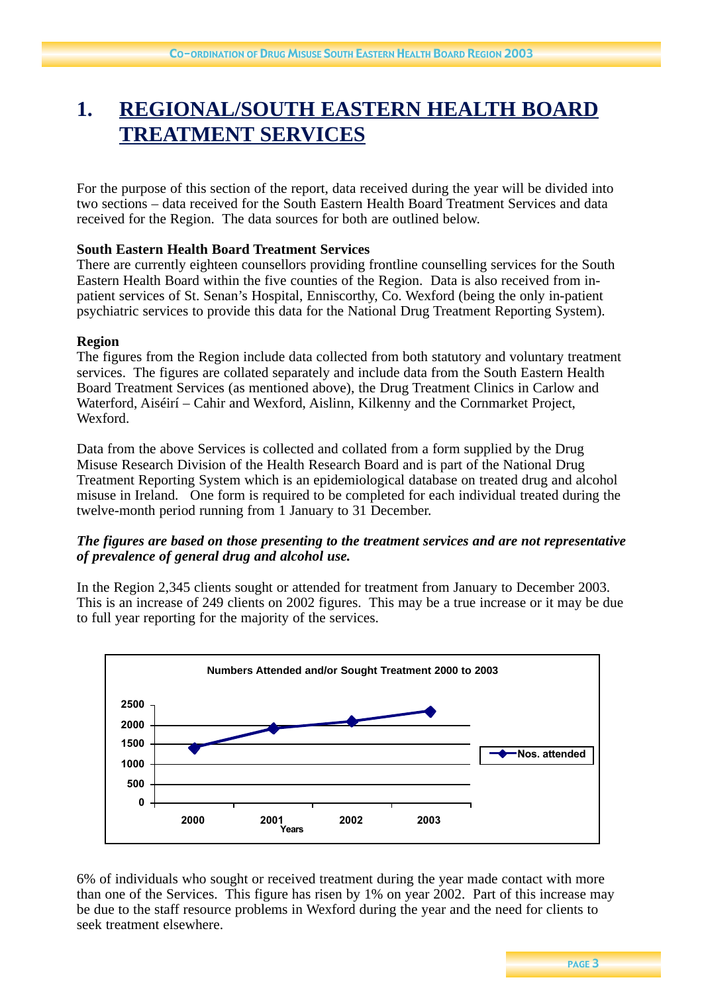## **1. REGIONAL/SOUTH EASTERN HEALTH BOARD TREATMENT SERVICES**

For the purpose of this section of the report, data received during the year will be divided into two sections – data received for the South Eastern Health Board Treatment Services and data received for the Region. The data sources for both are outlined below.

#### **South Eastern Health Board Treatment Services**

There are currently eighteen counsellors providing frontline counselling services for the South Eastern Health Board within the five counties of the Region. Data is also received from inpatient services of St. Senan's Hospital, Enniscorthy, Co. Wexford (being the only in-patient psychiatric services to provide this data for the National Drug Treatment Reporting System).

#### **Region**

The figures from the Region include data collected from both statutory and voluntary treatment services. The figures are collated separately and include data from the South Eastern Health Board Treatment Services (as mentioned above), the Drug Treatment Clinics in Carlow and Waterford, Aiséirí – Cahir and Wexford, Aislinn, Kilkenny and the Cornmarket Project, Wexford.

Data from the above Services is collected and collated from a form supplied by the Drug Misuse Research Division of the Health Research Board and is part of the National Drug Treatment Reporting System which is an epidemiological database on treated drug and alcohol misuse in Ireland. One form is required to be completed for each individual treated during the twelve-month period running from 1 January to 31 December.

#### *The figures are based on those presenting to the treatment services and are not representative of prevalence of general drug and alcohol use.*

In the Region 2,345 clients sought or attended for treatment from January to December 2003. This is an increase of 249 clients on 2002 figures. This may be a true increase or it may be due to full year reporting for the majority of the services.



6% of individuals who sought or received treatment during the year made contact with more than one of the Services. This figure has risen by 1% on year 2002. Part of this increase may be due to the staff resource problems in Wexford during the year and the need for clients to seek treatment elsewhere.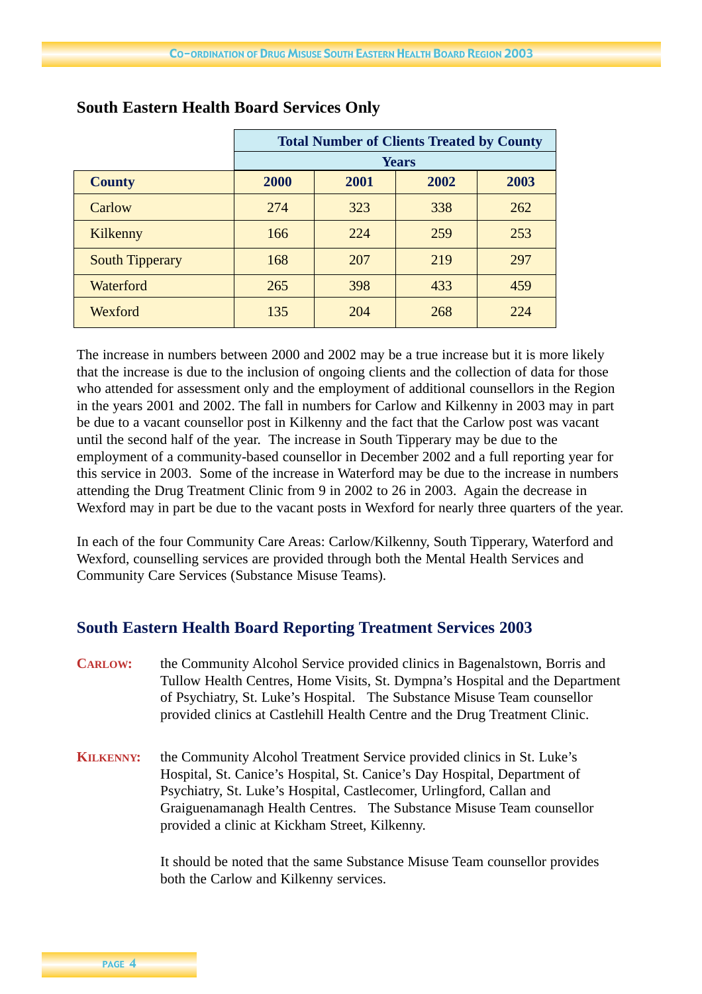|                        | <b>Total Number of Clients Treated by County</b> |              |      |      |  |
|------------------------|--------------------------------------------------|--------------|------|------|--|
|                        |                                                  | <b>Years</b> |      |      |  |
| <b>County</b>          | 2000                                             | 2001         | 2002 | 2003 |  |
| Carlow                 | 274                                              | 323          | 338  | 262  |  |
| Kilkenny               | 166                                              | 224          | 259  | 253  |  |
| <b>South Tipperary</b> | 168                                              | 207          | 219  | 297  |  |
| Waterford              | 265                                              | 398          | 433  | 459  |  |
| Wexford                | 135                                              | 204          | 268  | 224  |  |

#### **South Eastern Health Board Services Only**

The increase in numbers between 2000 and 2002 may be a true increase but it is more likely that the increase is due to the inclusion of ongoing clients and the collection of data for those who attended for assessment only and the employment of additional counsellors in the Region in the years 2001 and 2002. The fall in numbers for Carlow and Kilkenny in 2003 may in part be due to a vacant counsellor post in Kilkenny and the fact that the Carlow post was vacant until the second half of the year. The increase in South Tipperary may be due to the employment of a community-based counsellor in December 2002 and a full reporting year for this service in 2003. Some of the increase in Waterford may be due to the increase in numbers attending the Drug Treatment Clinic from 9 in 2002 to 26 in 2003. Again the decrease in Wexford may in part be due to the vacant posts in Wexford for nearly three quarters of the year.

In each of the four Community Care Areas: Carlow/Kilkenny, South Tipperary, Waterford and Wexford, counselling services are provided through both the Mental Health Services and Community Care Services (Substance Misuse Teams).

## **South Eastern Health Board Reporting Treatment Services 2003**

- **CARLOW:** the Community Alcohol Service provided clinics in Bagenalstown, Borris and Tullow Health Centres, Home Visits, St. Dympna's Hospital and the Department of Psychiatry, St. Luke's Hospital. The Substance Misuse Team counsellor provided clinics at Castlehill Health Centre and the Drug Treatment Clinic.
- **KILKENNY:** the Community Alcohol Treatment Service provided clinics in St. Luke's Hospital, St. Canice's Hospital, St. Canice's Day Hospital, Department of Psychiatry, St. Luke's Hospital, Castlecomer, Urlingford, Callan and Graiguenamanagh Health Centres. The Substance Misuse Team counsellor provided a clinic at Kickham Street, Kilkenny.

It should be noted that the same Substance Misuse Team counsellor provides both the Carlow and Kilkenny services.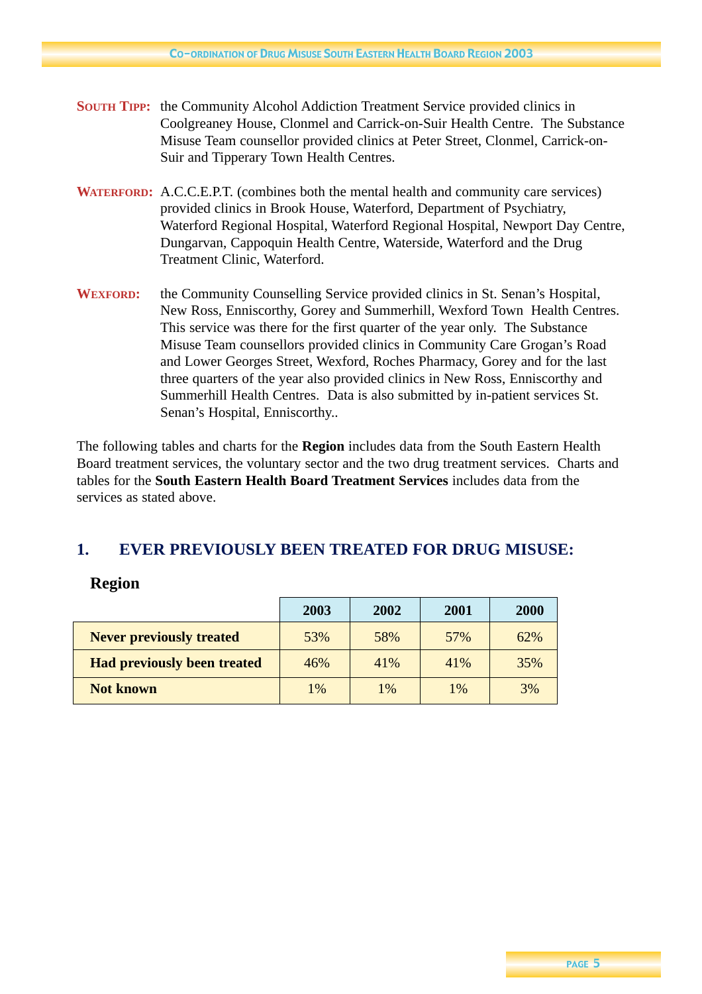- **SOUTH TIPP:** the Community Alcohol Addiction Treatment Service provided clinics in Coolgreaney House, Clonmel and Carrick-on-Suir Health Centre. The Substance Misuse Team counsellor provided clinics at Peter Street, Clonmel, Carrick-on-Suir and Tipperary Town Health Centres.
- **WATERFORD:** A.C.C.E.P.T. (combines both the mental health and community care services) provided clinics in Brook House, Waterford, Department of Psychiatry, Waterford Regional Hospital, Waterford Regional Hospital, Newport Day Centre, Dungarvan, Cappoquin Health Centre, Waterside, Waterford and the Drug Treatment Clinic, Waterford.
- **WEXFORD:** the Community Counselling Service provided clinics in St. Senan's Hospital, New Ross, Enniscorthy, Gorey and Summerhill, Wexford Town Health Centres. This service was there for the first quarter of the year only. The Substance Misuse Team counsellors provided clinics in Community Care Grogan's Road and Lower Georges Street, Wexford, Roches Pharmacy, Gorey and for the last three quarters of the year also provided clinics in New Ross, Enniscorthy and Summerhill Health Centres. Data is also submitted by in-patient services St. Senan's Hospital, Enniscorthy..

The following tables and charts for the **Region** includes data from the South Eastern Health Board treatment services, the voluntary sector and the two drug treatment services. Charts and tables for the **South Eastern Health Board Treatment Services** includes data from the services as stated above.

## **1. EVER PREVIOUSLY BEEN TREATED FOR DRUG MISUSE:**

#### **Region**

|                                    | 2003  | 2002 | 2001 | 2000 |
|------------------------------------|-------|------|------|------|
| <b>Never previously treated</b>    | 53%   | 58%  | 57%  | 62%  |
| <b>Had previously been treated</b> | 46%   | 41%  | 41\% | 35%  |
| <b>Not known</b>                   | $1\%$ | 1%   | 1%   | 3%   |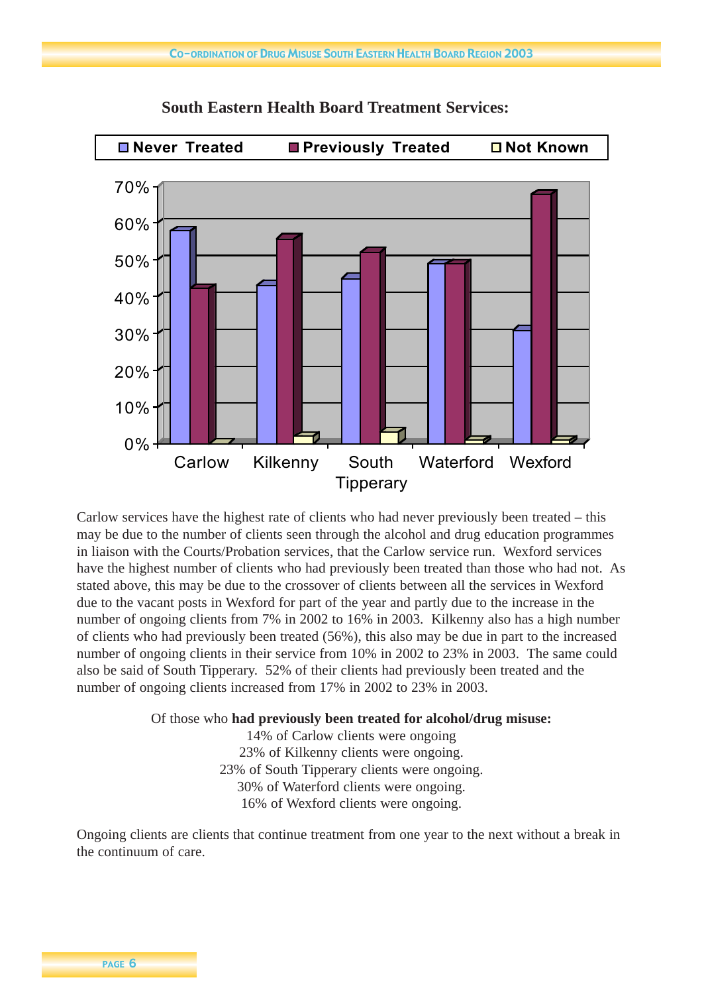

**South Eastern Health Board Treatment Services:**

Carlow services have the highest rate of clients who had never previously been treated – this may be due to the number of clients seen through the alcohol and drug education programmes in liaison with the Courts/Probation services, that the Carlow service run. Wexford services have the highest number of clients who had previously been treated than those who had not. As stated above, this may be due to the crossover of clients between all the services in Wexford due to the vacant posts in Wexford for part of the year and partly due to the increase in the number of ongoing clients from 7% in 2002 to 16% in 2003. Kilkenny also has a high number of clients who had previously been treated (56%), this also may be due in part to the increased number of ongoing clients in their service from 10% in 2002 to 23% in 2003. The same could also be said of South Tipperary. 52% of their clients had previously been treated and the number of ongoing clients increased from 17% in 2002 to 23% in 2003.

Of those who **had previously been treated for alcohol/drug misuse:**

14% of Carlow clients were ongoing 23% of Kilkenny clients were ongoing. 23% of South Tipperary clients were ongoing. 30% of Waterford clients were ongoing. 16% of Wexford clients were ongoing.

Ongoing clients are clients that continue treatment from one year to the next without a break in the continuum of care.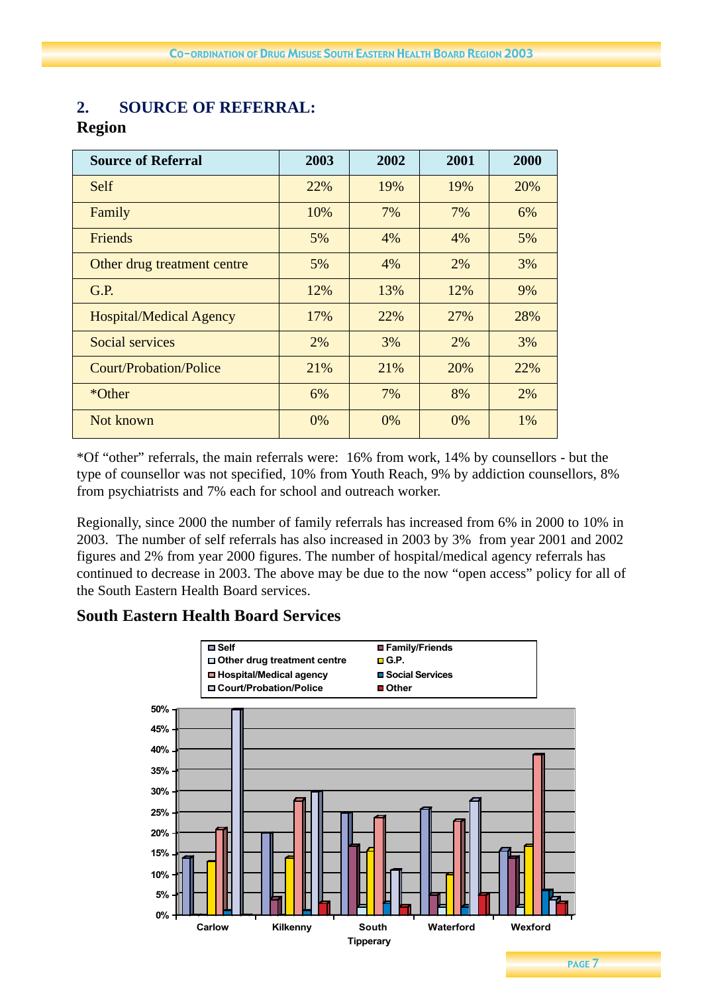## **2. SOURCE OF REFERRAL:**

## **Region**

| <b>Source of Referral</b>      | 2003 | 2002 | 2001 | 2000 |
|--------------------------------|------|------|------|------|
| Self                           | 22%  | 19%  | 19%  | 20%  |
| Family                         | 10%  | 7%   | 7%   | 6%   |
| Friends                        | 5%   | 4%   | 4%   | 5%   |
| Other drug treatment centre    | 5%   | 4%   | 2%   | 3%   |
| G.P.                           | 12%  | 13%  | 12%  | 9%   |
| <b>Hospital/Medical Agency</b> | 17%  | 22%  | 27%  | 28%  |
| <b>Social services</b>         | 2%   | 3%   | 2%   | 3%   |
| <b>Court/Probation/Police</b>  | 21%  | 21%  | 20%  | 22%  |
| *Other                         | 6%   | 7%   | 8%   | 2%   |
| Not known                      | 0%   | 0%   | 0%   | 1%   |

\*Of "other" referrals, the main referrals were: 16% from work, 14% by counsellors - but the type of counsellor was not specified, 10% from Youth Reach, 9% by addiction counsellors, 8% from psychiatrists and 7% each for school and outreach worker.

Regionally, since 2000 the number of family referrals has increased from 6% in 2000 to 10% in 2003. The number of self referrals has also increased in 2003 by 3% from year 2001 and 2002 figures and 2% from year 2000 figures. The number of hospital/medical agency referrals has continued to decrease in 2003. The above may be due to the now "open access" policy for all of the South Eastern Health Board services.

## **South Eastern Health Board Services**

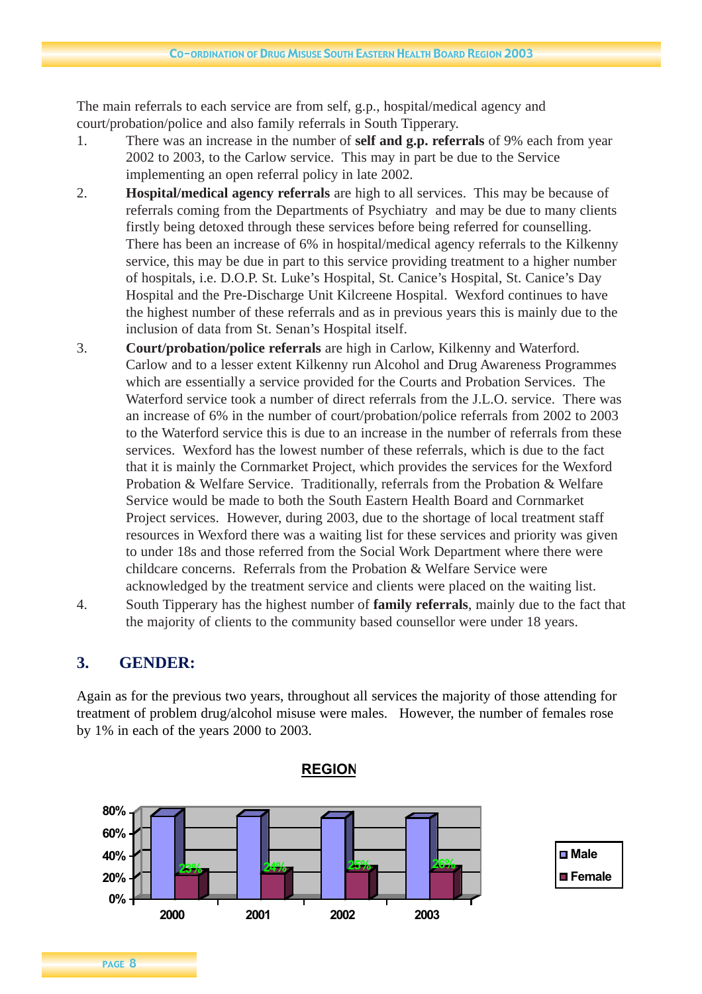The main referrals to each service are from self, g.p., hospital/medical agency and court/probation/police and also family referrals in South Tipperary.

- 1. There was an increase in the number of **self and g.p. referrals** of 9% each from year 2002 to 2003, to the Carlow service. This may in part be due to the Service implementing an open referral policy in late 2002.
- 2. **Hospital/medical agency referrals** are high to all services. This may be because of referrals coming from the Departments of Psychiatry and may be due to many clients firstly being detoxed through these services before being referred for counselling. There has been an increase of 6% in hospital/medical agency referrals to the Kilkenny service, this may be due in part to this service providing treatment to a higher number of hospitals, i.e. D.O.P. St. Luke's Hospital, St. Canice's Hospital, St. Canice's Day Hospital and the Pre-Discharge Unit Kilcreene Hospital. Wexford continues to have the highest number of these referrals and as in previous years this is mainly due to the inclusion of data from St. Senan's Hospital itself.
- 3. **Court/probation/police referrals** are high in Carlow, Kilkenny and Waterford. Carlow and to a lesser extent Kilkenny run Alcohol and Drug Awareness Programmes which are essentially a service provided for the Courts and Probation Services. The Waterford service took a number of direct referrals from the J.L.O. service. There was an increase of 6% in the number of court/probation/police referrals from 2002 to 2003 to the Waterford service this is due to an increase in the number of referrals from these services. Wexford has the lowest number of these referrals, which is due to the fact that it is mainly the Cornmarket Project, which provides the services for the Wexford Probation & Welfare Service. Traditionally, referrals from the Probation & Welfare Service would be made to both the South Eastern Health Board and Cornmarket Project services. However, during 2003, due to the shortage of local treatment staff resources in Wexford there was a waiting list for these services and priority was given to under 18s and those referred from the Social Work Department where there were childcare concerns. Referrals from the Probation & Welfare Service were acknowledged by the treatment service and clients were placed on the waiting list.
- 4. South Tipperary has the highest number of **family referrals**, mainly due to the fact that the majority of clients to the community based counsellor were under 18 years.

## **3. GENDER:**

Again as for the previous two years, throughout all services the majority of those attending for treatment of problem drug/alcohol misuse were males. However, the number of females rose by 1% in each of the years 2000 to 2003.

**REGION**

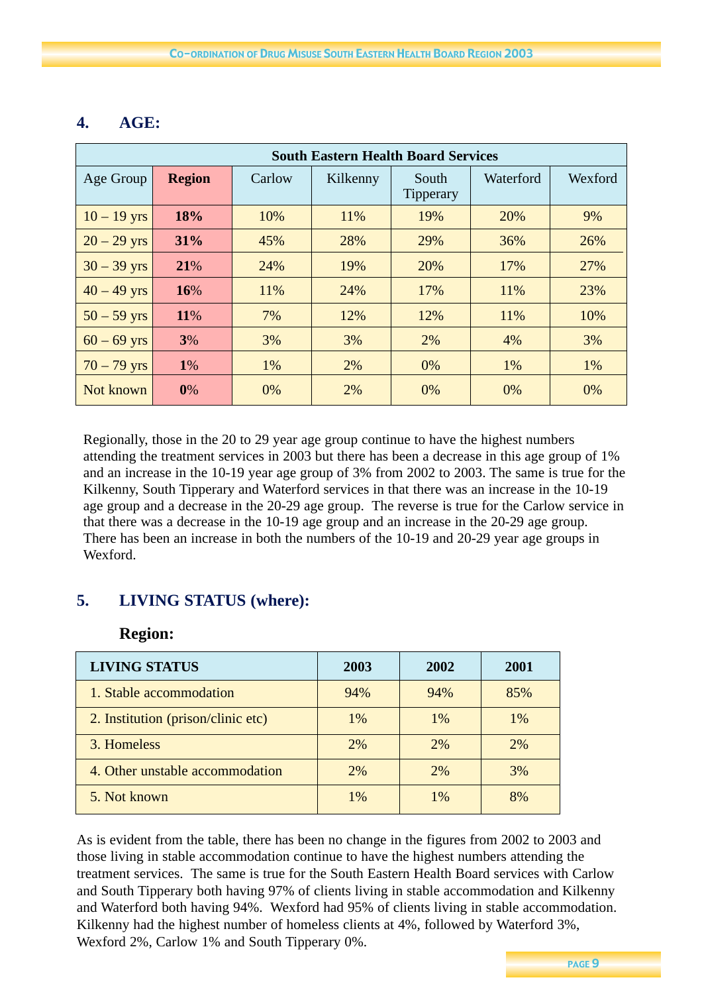| <b>South Eastern Health Board Services</b> |               |        |          |                           |           |         |
|--------------------------------------------|---------------|--------|----------|---------------------------|-----------|---------|
| Age Group                                  | <b>Region</b> | Carlow | Kilkenny | South<br><b>Tipperary</b> | Waterford | Wexford |
| $10 - 19$ yrs                              | 18%           | 10%    | 11%      | 19%                       | 20%       | 9%      |
| $20 - 29$ yrs                              | 31%           | 45%    | 28%      | 29%                       | 36%       | 26%     |
| $30 - 39$ yrs                              | 21%           | 24%    | 19%      | 20%                       | 17%       | 27%     |
| $40 - 49$ yrs                              | 16%           | 11%    | 24%      | 17%                       | 11%       | 23%     |
| $50 - 59$ yrs                              | 11%           | 7%     | 12%      | 12%                       | 11%       | 10%     |
| $60 - 69$ yrs                              | 3%            | 3%     | 3%       | 2%                        | 4%        | 3%      |
| $70 - 79$ yrs                              | <b>1%</b>     | 1%     | 2%       | 0%                        | 1%        | 1%      |
| Not known                                  | 0%            | 0%     | 2%       | 0%                        | 0%        | 0%      |

## **4. AGE:**

Regionally, those in the 20 to 29 year age group continue to have the highest numbers attending the treatment services in 2003 but there has been a decrease in this age group of 1% and an increase in the 10-19 year age group of 3% from 2002 to 2003. The same is true for the Kilkenny, South Tipperary and Waterford services in that there was an increase in the 10-19 age group and a decrease in the 20-29 age group. The reverse is true for the Carlow service in that there was a decrease in the 10-19 age group and an increase in the 20-29 age group. There has been an increase in both the numbers of the 10-19 and 20-29 year age groups in Wexford.

## **5. LIVING STATUS (where):**

## **Region:**

| <b>LIVING STATUS</b>               | 2003  | 2002  | 2001  |
|------------------------------------|-------|-------|-------|
| 1. Stable accommodation            | 94%   | 94%   | 85%   |
| 2. Institution (prison/clinic etc) | 1%    | $1\%$ | $1\%$ |
| 3. Homeless                        | 2%    | 2%    | 2%    |
| 4. Other unstable accommodation    | 2%    | 2%    | 3%    |
| 5. Not known                       | $1\%$ | $1\%$ | 8%    |

As is evident from the table, there has been no change in the figures from 2002 to 2003 and those living in stable accommodation continue to have the highest numbers attending the treatment services. The same is true for the South Eastern Health Board services with Carlow and South Tipperary both having 97% of clients living in stable accommodation and Kilkenny and Waterford both having 94%. Wexford had 95% of clients living in stable accommodation. Kilkenny had the highest number of homeless clients at 4%, followed by Waterford 3%, Wexford 2%, Carlow 1% and South Tipperary 0%.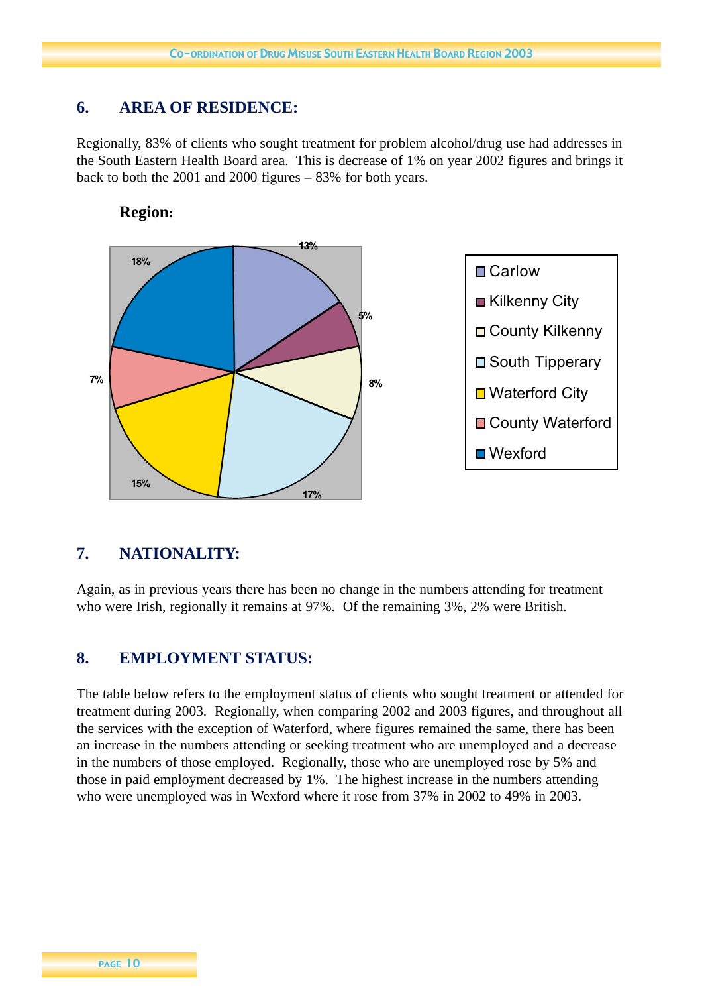## **6. AREA OF RESIDENCE:**

Regionally, 83% of clients who sought treatment for problem alcohol/drug use had addresses in the South Eastern Health Board area. This is decrease of 1% on year 2002 figures and brings it back to both the 2001 and 2000 figures – 83% for both years.



### **Region:**

## **7. NATIONALITY:**

Again, as in previous years there has been no change in the numbers attending for treatment who were Irish, regionally it remains at 97%. Of the remaining 3%, 2% were British.

## **8. EMPLOYMENT STATUS:**

The table below refers to the employment status of clients who sought treatment or attended for treatment during 2003. Regionally, when comparing 2002 and 2003 figures, and throughout all the services with the exception of Waterford, where figures remained the same, there has been an increase in the numbers attending or seeking treatment who are unemployed and a decrease in the numbers of those employed. Regionally, those who are unemployed rose by 5% and those in paid employment decreased by 1%. The highest increase in the numbers attending who were unemployed was in Wexford where it rose from 37% in 2002 to 49% in 2003.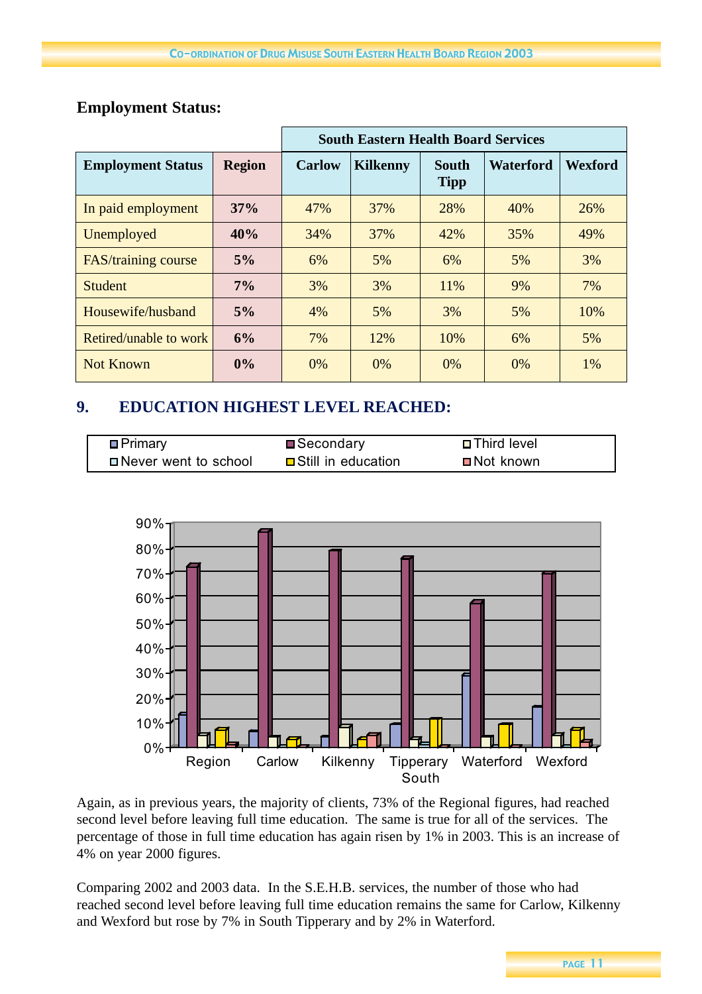|                          |               | <b>South Eastern Health Board Services</b> |                 |                             |                  |                |
|--------------------------|---------------|--------------------------------------------|-----------------|-----------------------------|------------------|----------------|
| <b>Employment Status</b> | <b>Region</b> | <b>Carlow</b>                              | <b>Kilkenny</b> | <b>South</b><br><b>Tipp</b> | <b>Waterford</b> | <b>Wexford</b> |
| In paid employment       | 37%           | 47%                                        | 37%             | 28%                         | 40%              | 26%            |
| Unemployed               | 40%           | 34%                                        | 37%             | 42%                         | 35%              | 49%            |
| FAS/training course      | 5%            | 6%                                         | 5%              | 6%                          | 5%               | 3%             |
| <b>Student</b>           | 7%            | 3%                                         | 3%              | 11%                         | 9%               | 7%             |
| Housewife/husband        | 5%            | 4%                                         | 5%              | 3%                          | 5%               | 10%            |
| Retired/unable to work   | 6%            | 7%                                         | 12%             | 10%                         | 6%               | 5%             |
| <b>Not Known</b>         | 0%            | 0%                                         | $0\%$           | 0%                          | $0\%$            | 1%             |

## **Employment Status:**

## **9. EDUCATION HIGHEST LEVEL REACHED:**

| <b>□</b> Primary       | ■Secondary                  | <b>□ Third level</b>     |
|------------------------|-----------------------------|--------------------------|
| □ Never went to school | <b>□</b> Still in education | $\blacksquare$ Not known |



Again, as in previous years, the majority of clients, 73% of the Regional figures, had reached second level before leaving full time education. The same is true for all of the services. The percentage of those in full time education has again risen by 1% in 2003. This is an increase of 4% on year 2000 figures.

Comparing 2002 and 2003 data. In the S.E.H.B. services, the number of those who had reached second level before leaving full time education remains the same for Carlow, Kilkenny and Wexford but rose by 7% in South Tipperary and by 2% in Waterford.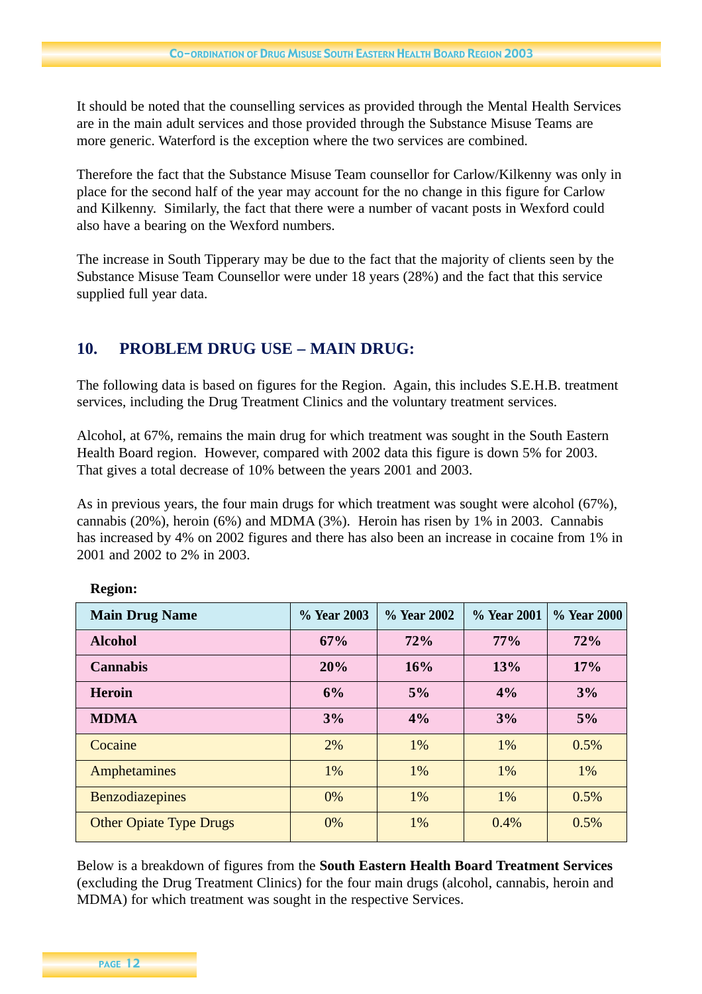It should be noted that the counselling services as provided through the Mental Health Services are in the main adult services and those provided through the Substance Misuse Teams are more generic. Waterford is the exception where the two services are combined.

Therefore the fact that the Substance Misuse Team counsellor for Carlow/Kilkenny was only in place for the second half of the year may account for the no change in this figure for Carlow and Kilkenny. Similarly, the fact that there were a number of vacant posts in Wexford could also have a bearing on the Wexford numbers.

The increase in South Tipperary may be due to the fact that the majority of clients seen by the Substance Misuse Team Counsellor were under 18 years (28%) and the fact that this service supplied full year data.

## **10. PROBLEM DRUG USE – MAIN DRUG:**

The following data is based on figures for the Region. Again, this includes S.E.H.B. treatment services, including the Drug Treatment Clinics and the voluntary treatment services.

Alcohol, at 67%, remains the main drug for which treatment was sought in the South Eastern Health Board region. However, compared with 2002 data this figure is down 5% for 2003. That gives a total decrease of 10% between the years 2001 and 2003.

As in previous years, the four main drugs for which treatment was sought were alcohol (67%), cannabis (20%), heroin (6%) and MDMA (3%). Heroin has risen by 1% in 2003. Cannabis has increased by 4% on 2002 figures and there has also been an increase in cocaine from 1% in 2001 and 2002 to 2% in 2003.

| <b>Main Drug Name</b>          | % Year 2003 | % Year 2002 | % Year 2001 | % Year 2000 |
|--------------------------------|-------------|-------------|-------------|-------------|
| <b>Alcohol</b>                 | 67%         | 72%         | 77%         | 72%         |
| <b>Cannabis</b>                | 20%         | 16%         | 13%         | 17%         |
| <b>Heroin</b>                  | 6%          | 5%          | 4%          | 3%          |
| <b>MDMA</b>                    | 3%          | 4%          | 3%          | 5%          |
| Cocaine                        | 2%          | 1%          | 1%          | 0.5%        |
| Amphetamines                   | 1%          | 1%          | 1%          | 1%          |
| <b>Benzodiazepines</b>         | 0%          | 1%          | 1%          | 0.5%        |
| <b>Other Opiate Type Drugs</b> | 0%          | 1%          | 0.4%        | 0.5%        |

**Region:**

Below is a breakdown of figures from the **South Eastern Health Board Treatment Services** (excluding the Drug Treatment Clinics) for the four main drugs (alcohol, cannabis, heroin and MDMA) for which treatment was sought in the respective Services.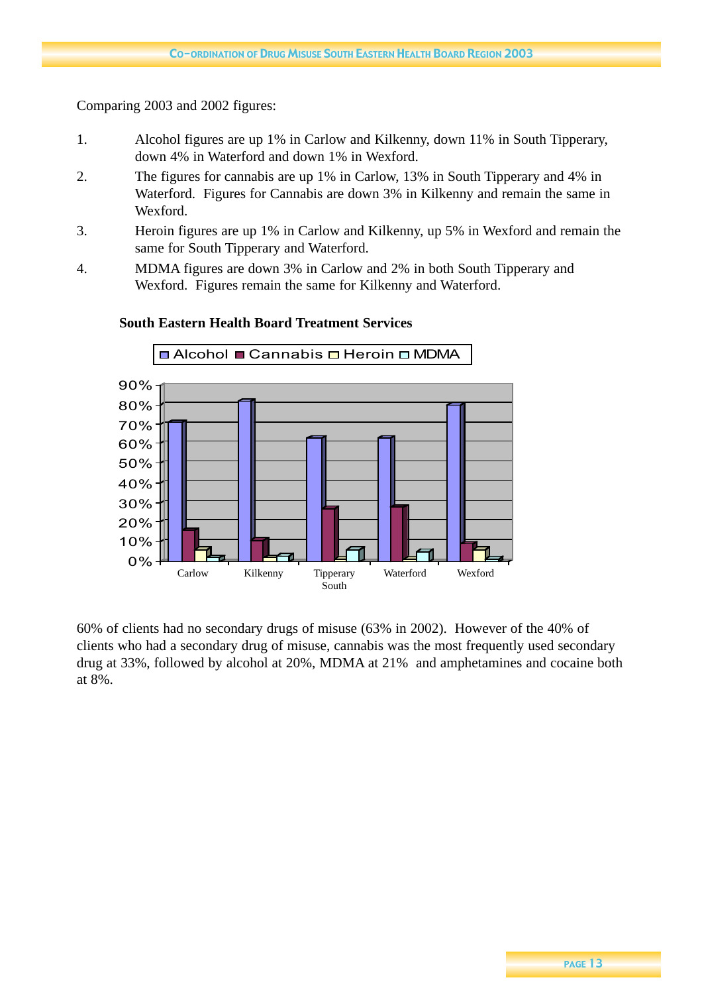### Comparing 2003 and 2002 figures:

- 1. Alcohol figures are up 1% in Carlow and Kilkenny, down 11% in South Tipperary, down 4% in Waterford and down 1% in Wexford.
- 2. The figures for cannabis are up 1% in Carlow, 13% in South Tipperary and 4% in Waterford. Figures for Cannabis are down 3% in Kilkenny and remain the same in Wexford.
- 3. Heroin figures are up 1% in Carlow and Kilkenny, up 5% in Wexford and remain the same for South Tipperary and Waterford.
- 4. MDMA figures are down 3% in Carlow and 2% in both South Tipperary and Wexford. Figures remain the same for Kilkenny and Waterford.



### **South Eastern Health Board Treatment Services**

60% of clients had no secondary drugs of misuse (63% in 2002). However of the 40% of clients who had a secondary drug of misuse, cannabis was the most frequently used secondary drug at 33%, followed by alcohol at 20%, MDMA at 21% and amphetamines and cocaine both at 8%.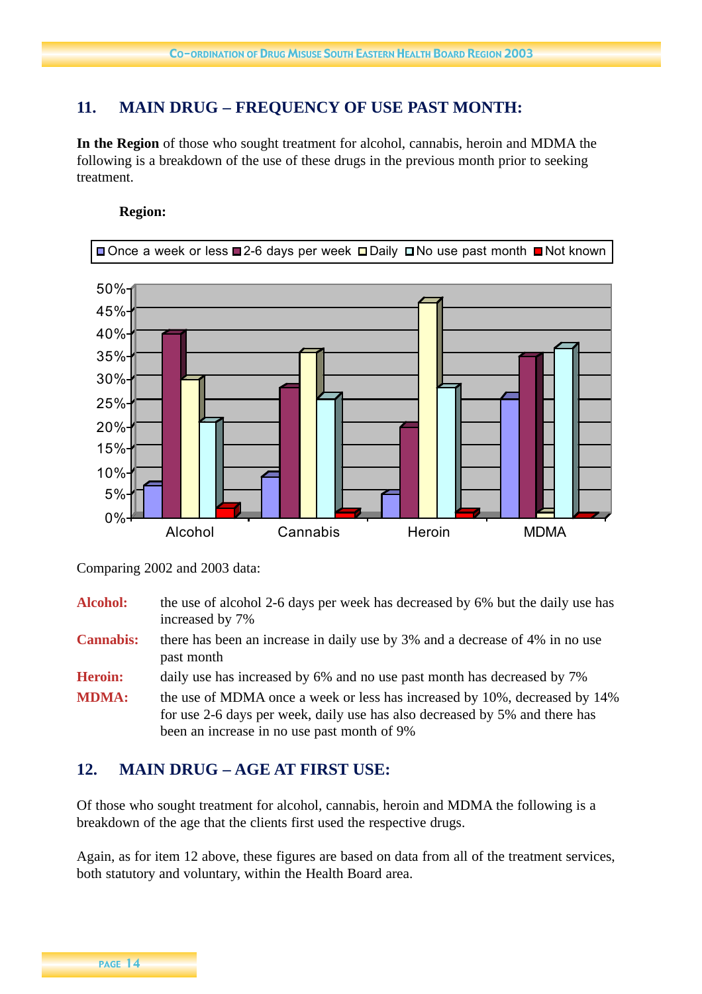## **11. MAIN DRUG – FREQUENCY OF USE PAST MONTH:**

**In the Region** of those who sought treatment for alcohol, cannabis, heroin and MDMA the following is a breakdown of the use of these drugs in the previous month prior to seeking treatment.

#### **Region:**



Comparing 2002 and 2003 data:

Alcohol: the use of alcohol 2-6 days per week has decreased by 6% but the daily use has increased by 7%

**Cannabis:** there has been an increase in daily use by 3% and a decrease of 4% in no use past month

**Heroin:** daily use has increased by 6% and no use past month has decreased by 7%

**MDMA:** the use of MDMA once a week or less has increased by 10%, decreased by 14% for use 2-6 days per week, daily use has also decreased by 5% and there has been an increase in no use past month of 9%

## **12. MAIN DRUG – AGE AT FIRST USE:**

Of those who sought treatment for alcohol, cannabis, heroin and MDMA the following is a breakdown of the age that the clients first used the respective drugs.

Again, as for item 12 above, these figures are based on data from all of the treatment services, both statutory and voluntary, within the Health Board area.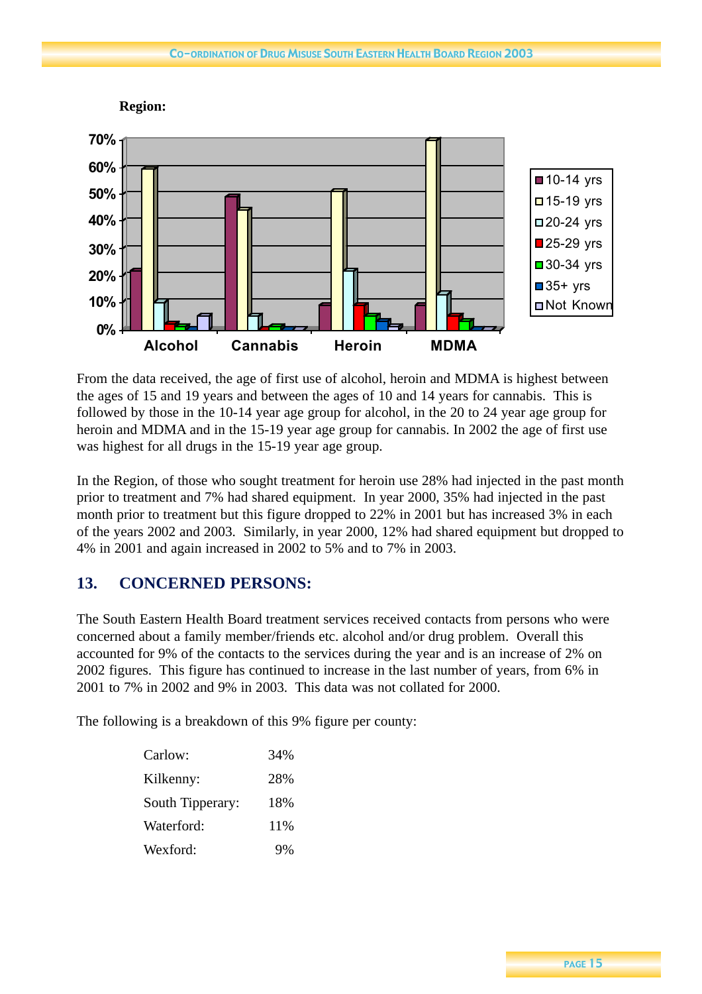

From the data received, the age of first use of alcohol, heroin and MDMA is highest between the ages of 15 and 19 years and between the ages of 10 and 14 years for cannabis. This is followed by those in the 10-14 year age group for alcohol, in the 20 to 24 year age group for heroin and MDMA and in the 15-19 year age group for cannabis. In 2002 the age of first use was highest for all drugs in the 15-19 year age group.

In the Region, of those who sought treatment for heroin use 28% had injected in the past month prior to treatment and 7% had shared equipment. In year 2000, 35% had injected in the past month prior to treatment but this figure dropped to 22% in 2001 but has increased 3% in each of the years 2002 and 2003. Similarly, in year 2000, 12% had shared equipment but dropped to 4% in 2001 and again increased in 2002 to 5% and to 7% in 2003.

## **13. CONCERNED PERSONS:**

The South Eastern Health Board treatment services received contacts from persons who were concerned about a family member/friends etc. alcohol and/or drug problem. Overall this accounted for 9% of the contacts to the services during the year and is an increase of 2% on 2002 figures. This figure has continued to increase in the last number of years, from 6% in 2001 to 7% in 2002 and 9% in 2003. This data was not collated for 2000.

The following is a breakdown of this 9% figure per county:

| Carlow:          | 34% |
|------------------|-----|
| Kilkenny:        | 28% |
| South Tipperary: | 18% |
| Waterford:       | 11% |
| Wexford:         | 9%  |

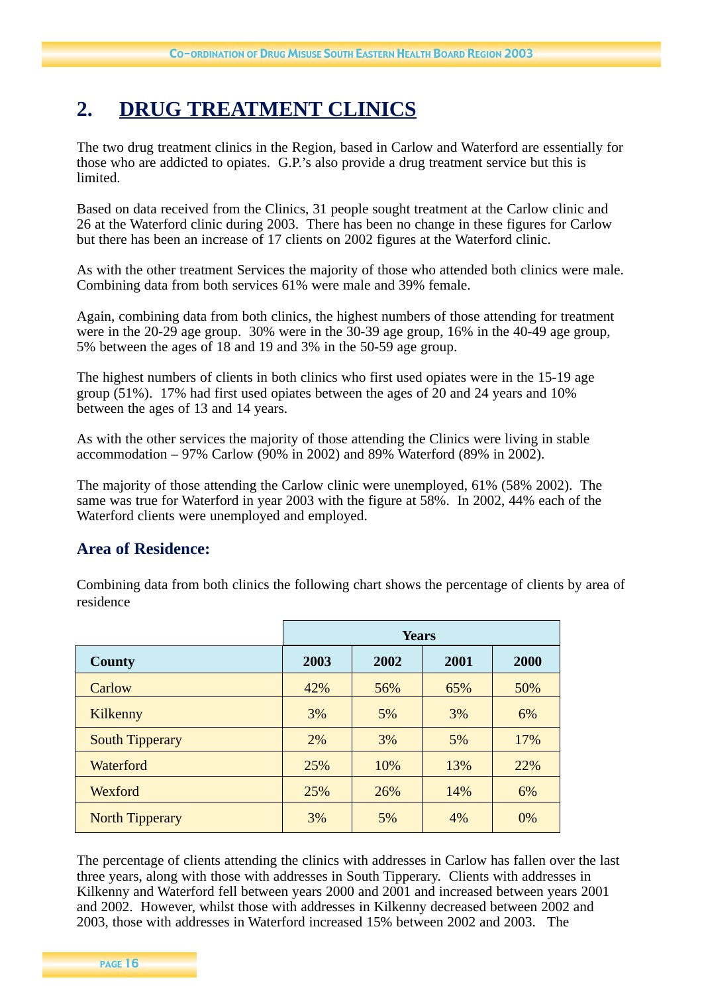## **2. DRUG TREATMENT CLINICS**

The two drug treatment clinics in the Region, based in Carlow and Waterford are essentially for those who are addicted to opiates. G.P.'s also provide a drug treatment service but this is limited.

Based on data received from the Clinics, 31 people sought treatment at the Carlow clinic and 26 at the Waterford clinic during 2003. There has been no change in these figures for Carlow but there has been an increase of 17 clients on 2002 figures at the Waterford clinic.

As with the other treatment Services the majority of those who attended both clinics were male. Combining data from both services 61% were male and 39% female.

Again, combining data from both clinics, the highest numbers of those attending for treatment were in the 20-29 age group. 30% were in the 30-39 age group, 16% in the 40-49 age group, 5% between the ages of 18 and 19 and 3% in the 50-59 age group.

The highest numbers of clients in both clinics who first used opiates were in the 15-19 age group (51%). 17% had first used opiates between the ages of 20 and 24 years and 10% between the ages of 13 and 14 years.

As with the other services the majority of those attending the Clinics were living in stable accommodation – 97% Carlow (90% in 2002) and 89% Waterford (89% in 2002).

The majority of those attending the Carlow clinic were unemployed, 61% (58% 2002). The same was true for Waterford in year 2003 with the figure at 58%. In 2002, 44% each of the Waterford clients were unemployed and employed.

## **Area of Residence:**

Combining data from both clinics the following chart shows the percentage of clients by area of residence

|                        | <b>Years</b>                 |     |     |     |  |
|------------------------|------------------------------|-----|-----|-----|--|
| County                 | 2001<br>2003<br>2002<br>2000 |     |     |     |  |
| Carlow                 | 42%                          | 56% | 65% | 50% |  |
| Kilkenny               | 3%                           | 5%  | 3%  | 6%  |  |
| <b>South Tipperary</b> | 2%                           | 3%  | 5%  | 17% |  |
| Waterford              | 25%                          | 10% | 13% | 22% |  |
| Wexford                | 25%                          | 26% | 14% | 6%  |  |
| <b>North Tipperary</b> | 3%                           | 5%  | 4%  | 0%  |  |

The percentage of clients attending the clinics with addresses in Carlow has fallen over the last three years, along with those with addresses in South Tipperary. Clients with addresses in Kilkenny and Waterford fell between years 2000 and 2001 and increased between years 2001 and 2002. However, whilst those with addresses in Kilkenny decreased between 2002 and 2003, those with addresses in Waterford increased 15% between 2002 and 2003. The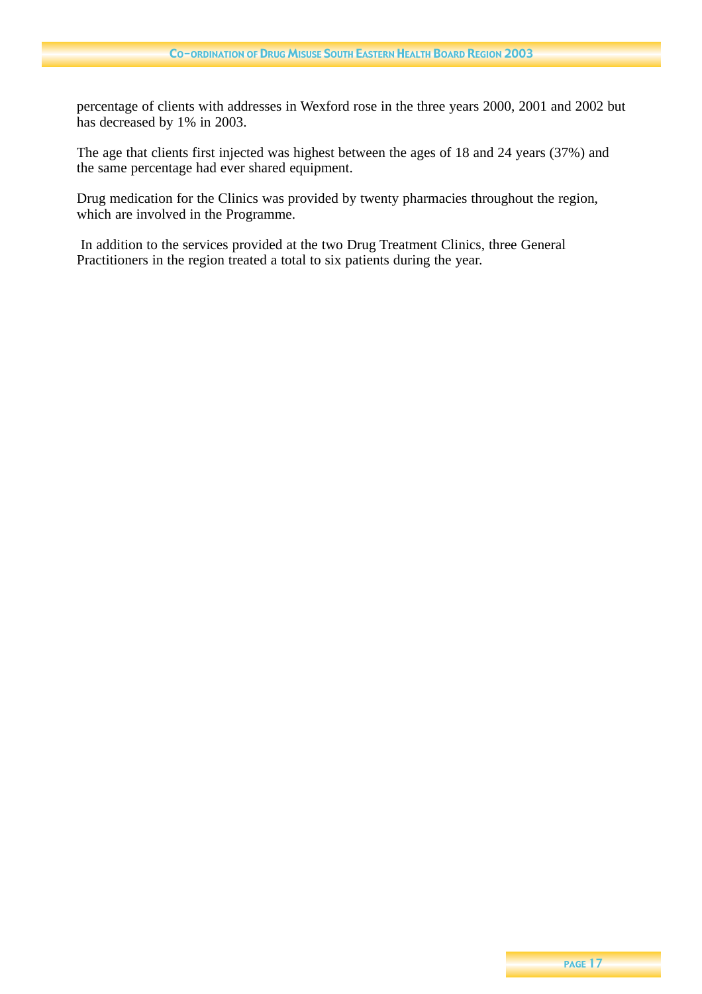percentage of clients with addresses in Wexford rose in the three years 2000, 2001 and 2002 but has decreased by 1% in 2003.

The age that clients first injected was highest between the ages of 18 and 24 years (37%) and the same percentage had ever shared equipment.

Drug medication for the Clinics was provided by twenty pharmacies throughout the region, which are involved in the Programme.

In addition to the services provided at the two Drug Treatment Clinics, three General Practitioners in the region treated a total to six patients during the year.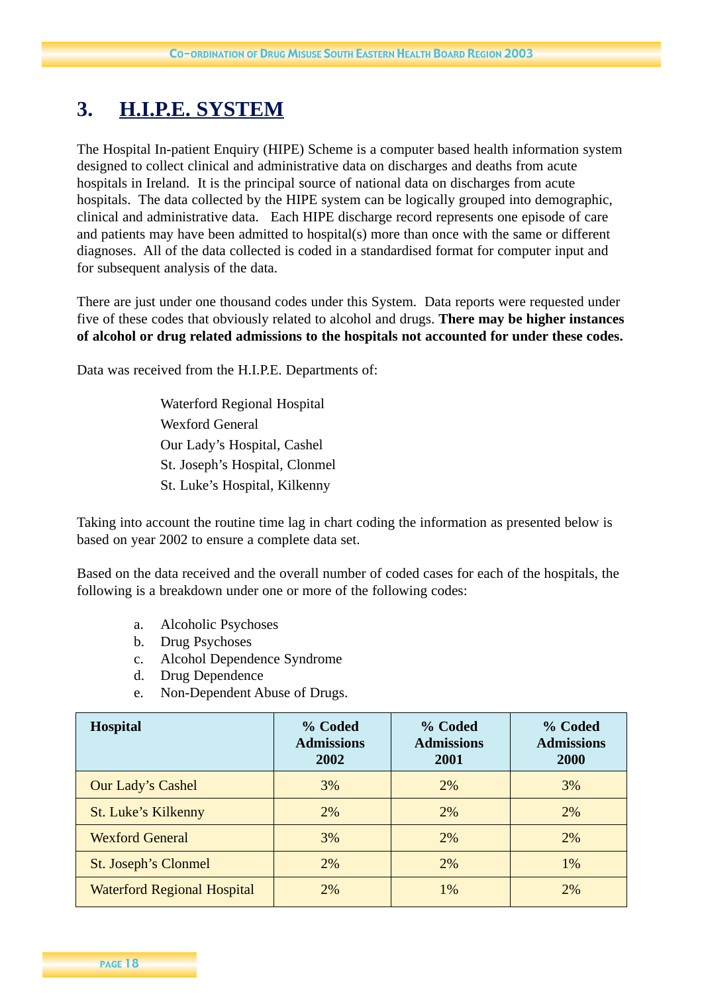## **3. H.I.P.E. SYSTEM**

The Hospital In-patient Enquiry (HIPE) Scheme is a computer based health information system designed to collect clinical and administrative data on discharges and deaths from acute hospitals in Ireland. It is the principal source of national data on discharges from acute hospitals. The data collected by the HIPE system can be logically grouped into demographic, clinical and administrative data. Each HIPE discharge record represents one episode of care and patients may have been admitted to hospital(s) more than once with the same or different diagnoses. All of the data collected is coded in a standardised format for computer input and for subsequent analysis of the data.

There are just under one thousand codes under this System. Data reports were requested under five of these codes that obviously related to alcohol and drugs. **There may be higher instances of alcohol or drug related admissions to the hospitals not accounted for under these codes.** 

Data was received from the H.I.P.E. Departments of:

Waterford Regional Hospital Wexford General Our Lady's Hospital, Cashel St. Joseph's Hospital, Clonmel St. Luke's Hospital, Kilkenny

Taking into account the routine time lag in chart coding the information as presented below is based on year 2002 to ensure a complete data set.

Based on the data received and the overall number of coded cases for each of the hospitals, the following is a breakdown under one or more of the following codes:

- a. Alcoholic Psychoses
- b. Drug Psychoses
- c. Alcohol Dependence Syndrome
- d. Drug Dependence
- e. Non-Dependent Abuse of Drugs.

| <b>Hospital</b>                    | % Coded<br><b>Admissions</b><br>2002 | % Coded<br><b>Admissions</b><br>2001 | % Coded<br><b>Admissions</b><br>2000 |
|------------------------------------|--------------------------------------|--------------------------------------|--------------------------------------|
| Our Lady's Cashel                  | 3%                                   | 2%                                   | 3%                                   |
| <b>St. Luke's Kilkenny</b>         | 2%                                   | 2%                                   | 2%                                   |
| <b>Wexford General</b>             | 3%                                   | 2%                                   | 2%                                   |
| St. Joseph's Clonmel               | 2%                                   | 2%                                   | 1%                                   |
| <b>Waterford Regional Hospital</b> | 2%                                   | 1%                                   | 2%                                   |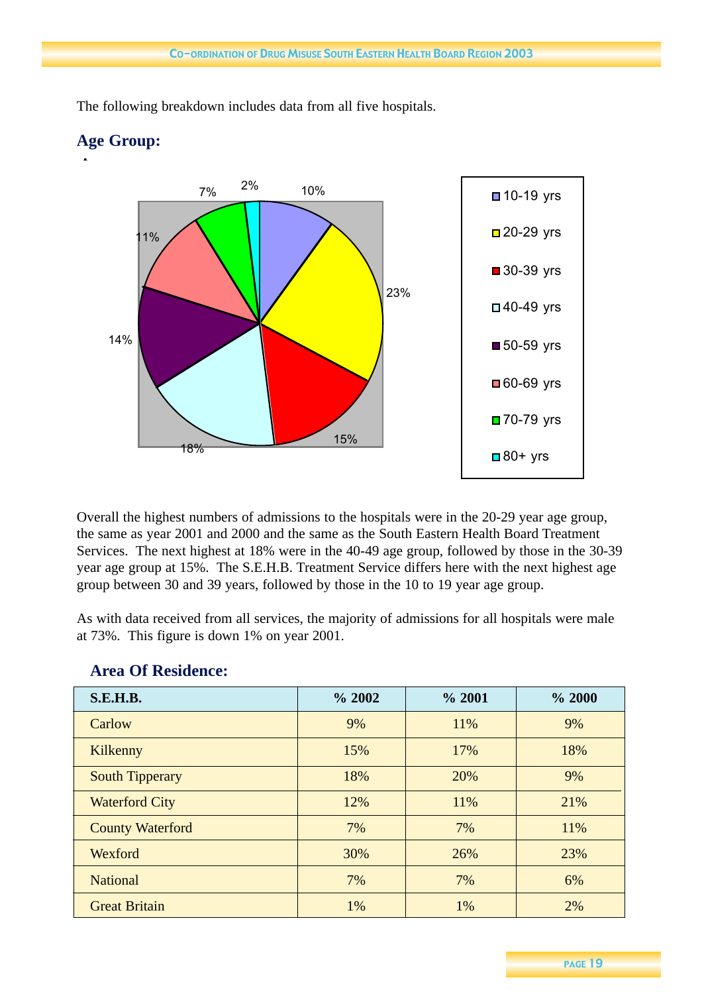

The following breakdown includes data from all five hospitals.

**Age Group:**

Overall the highest numbers of admissions to the hospitals were in the 20-29 year age group, the same as year 2001 and 2000 and the same as the South Eastern Health Board Treatment Services. The next highest at 18% were in the 40-49 age group, followed by those in the 30-39 year age group at 15%. The S.E.H.B. Treatment Service differs here with the next highest age group between 30 and 39 years, followed by those in the 10 to 19 year age group.

As with data received from all services, the majority of admissions for all hospitals were male at 73%. This figure is down 1% on year 2001.

| <b>S.E.H.B.</b>         | % 2002 | % 2001 | % 2000 |
|-------------------------|--------|--------|--------|
| Carlow                  | 9%     | 11%    | 9%     |
| Kilkenny                | 15%    | 17%    | 18%    |
| <b>South Tipperary</b>  | 18%    | 20%    | 9%     |
| <b>Waterford City</b>   | 12%    | 11%    | 21%    |
| <b>County Waterford</b> | 7%     | 7%     | 11%    |
| Wexford                 | 30%    | 26%    | 23%    |
| <b>National</b>         | 7%     | 7%     | 6%     |
| <b>Great Britain</b>    | 1%     | 1%     | 2%     |

## **Area Of Residence:**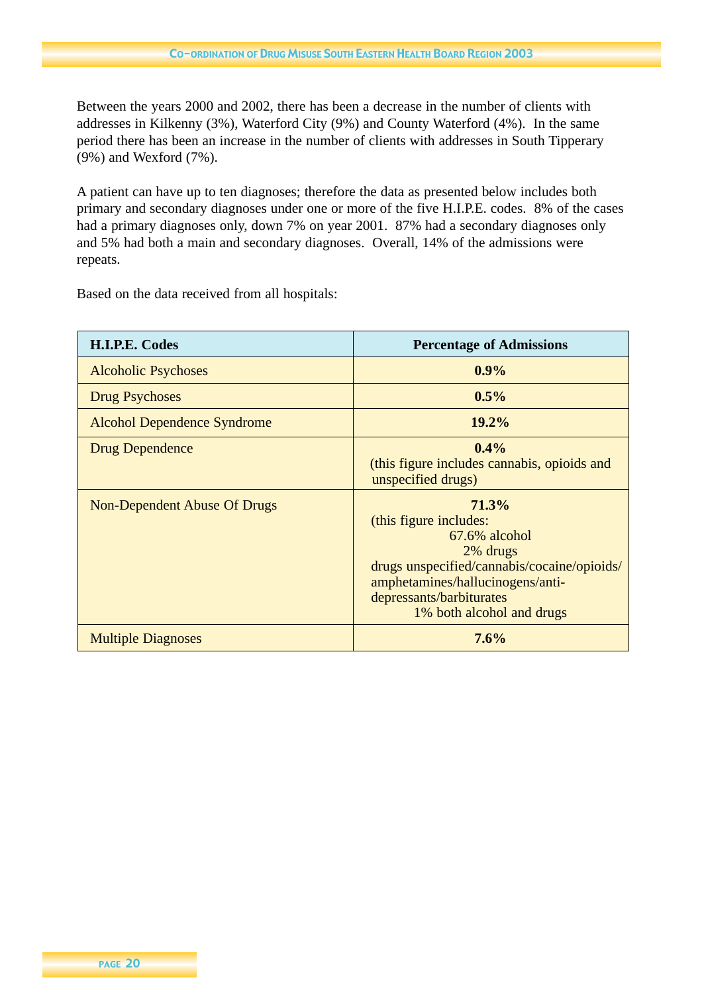Between the years 2000 and 2002, there has been a decrease in the number of clients with addresses in Kilkenny (3%), Waterford City (9%) and County Waterford (4%). In the same period there has been an increase in the number of clients with addresses in South Tipperary (9%) and Wexford (7%).

A patient can have up to ten diagnoses; therefore the data as presented below includes both primary and secondary diagnoses under one or more of the five H.I.P.E. codes. 8% of the cases had a primary diagnoses only, down 7% on year 2001. 87% had a secondary diagnoses only and 5% had both a main and secondary diagnoses. Overall, 14% of the admissions were repeats.

Based on the data received from all hospitals:

| H.I.P.E. Codes                      | <b>Percentage of Admissions</b>                                                                                                                                                                             |
|-------------------------------------|-------------------------------------------------------------------------------------------------------------------------------------------------------------------------------------------------------------|
| <b>Alcoholic Psychoses</b>          | $0.9\%$                                                                                                                                                                                                     |
| <b>Drug Psychoses</b>               | $0.5\%$                                                                                                                                                                                                     |
| <b>Alcohol Dependence Syndrome</b>  | $19.2\%$                                                                                                                                                                                                    |
| <b>Drug Dependence</b>              | $0.4\%$<br>(this figure includes cannabis, opioids and<br>unspecified drugs)                                                                                                                                |
| <b>Non-Dependent Abuse Of Drugs</b> | 71.3%<br>(this figure includes:<br>$67.6\%$ alcohol<br>2% drugs<br>drugs unspecified/cannabis/cocaine/opioids/<br>amphetamines/hallucinogens/anti-<br>depressants/barbiturates<br>1% both alcohol and drugs |
| <b>Multiple Diagnoses</b>           | 7.6%                                                                                                                                                                                                        |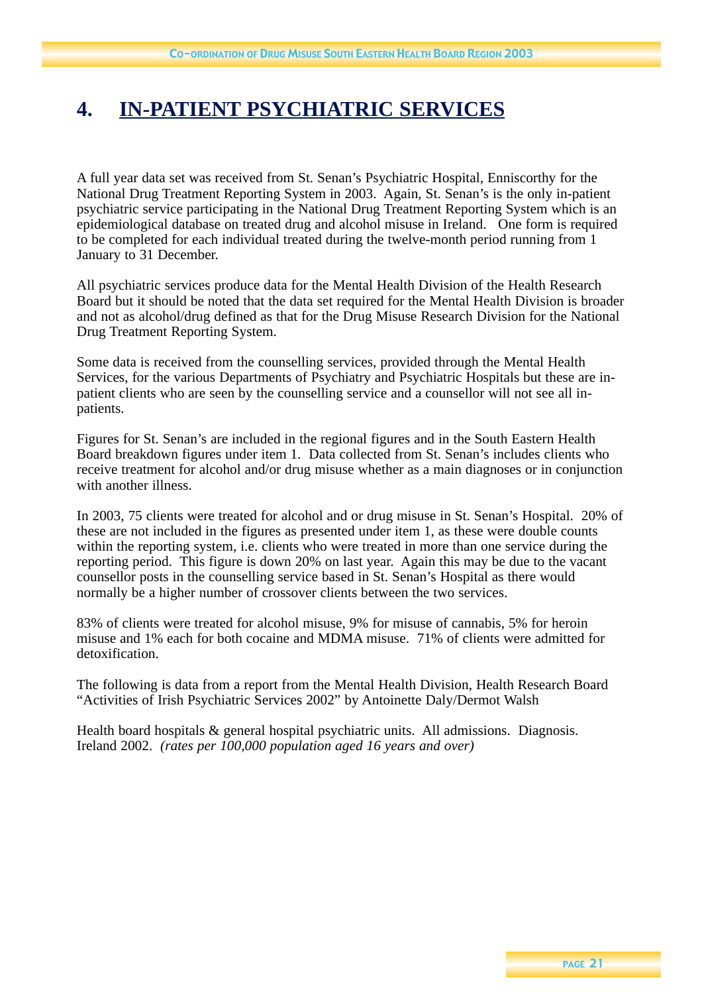## **4. IN-PATIENT PSYCHIATRIC SERVICES**

A full year data set was received from St. Senan's Psychiatric Hospital, Enniscorthy for the National Drug Treatment Reporting System in 2003. Again, St. Senan's is the only in-patient psychiatric service participating in the National Drug Treatment Reporting System which is an epidemiological database on treated drug and alcohol misuse in Ireland. One form is required to be completed for each individual treated during the twelve-month period running from 1 January to 31 December.

All psychiatric services produce data for the Mental Health Division of the Health Research Board but it should be noted that the data set required for the Mental Health Division is broader and not as alcohol/drug defined as that for the Drug Misuse Research Division for the National Drug Treatment Reporting System.

Some data is received from the counselling services, provided through the Mental Health Services, for the various Departments of Psychiatry and Psychiatric Hospitals but these are inpatient clients who are seen by the counselling service and a counsellor will not see all inpatients.

Figures for St. Senan's are included in the regional figures and in the South Eastern Health Board breakdown figures under item 1. Data collected from St. Senan's includes clients who receive treatment for alcohol and/or drug misuse whether as a main diagnoses or in conjunction with another illness.

In 2003, 75 clients were treated for alcohol and or drug misuse in St. Senan's Hospital. 20% of these are not included in the figures as presented under item 1, as these were double counts within the reporting system, i.e. clients who were treated in more than one service during the reporting period. This figure is down 20% on last year. Again this may be due to the vacant counsellor posts in the counselling service based in St. Senan's Hospital as there would normally be a higher number of crossover clients between the two services.

83% of clients were treated for alcohol misuse, 9% for misuse of cannabis, 5% for heroin misuse and 1% each for both cocaine and MDMA misuse. 71% of clients were admitted for detoxification.

The following is data from a report from the Mental Health Division, Health Research Board "Activities of Irish Psychiatric Services 2002" by Antoinette Daly/Dermot Walsh

Health board hospitals & general hospital psychiatric units. All admissions. Diagnosis. Ireland 2002. *(rates per 100,000 population aged 16 years and over)*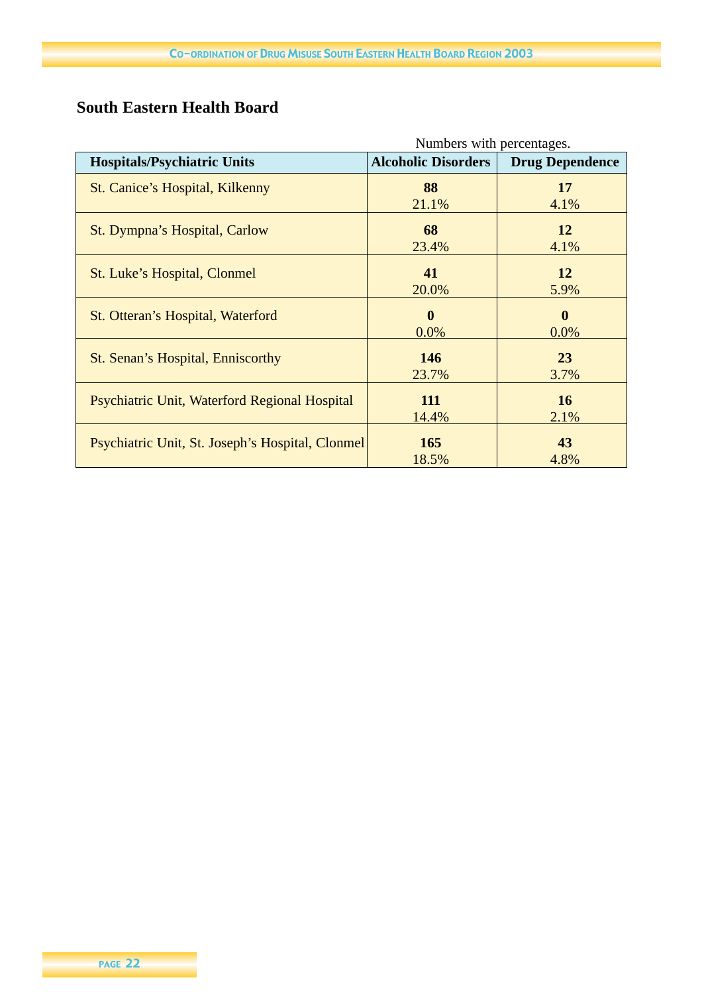## **South Eastern Health Board**

|                                                  | Numbers with percentages.  |                        |  |
|--------------------------------------------------|----------------------------|------------------------|--|
| <b>Hospitals/Psychiatric Units</b>               | <b>Alcoholic Disorders</b> | <b>Drug Dependence</b> |  |
| St. Canice's Hospital, Kilkenny                  | 88                         | 17                     |  |
|                                                  | 21.1%                      | 4.1%                   |  |
| St. Dympna's Hospital, Carlow                    | 68                         | 12                     |  |
|                                                  | 23.4%                      | 4.1%                   |  |
| St. Luke's Hospital, Clonmel                     | 41                         | 12                     |  |
|                                                  | 20.0%                      | 5.9%                   |  |
| St. Otteran's Hospital, Waterford                | $\mathbf{0}$               | $\mathbf{0}$           |  |
|                                                  | 0.0%                       | $0.0\%$                |  |
| St. Senan's Hospital, Enniscorthy                | <b>146</b>                 | 23                     |  |
|                                                  | 23.7%                      | 3.7%                   |  |
|                                                  | 111                        | 16                     |  |
| Psychiatric Unit, Waterford Regional Hospital    | 14.4%                      | 2.1%                   |  |
|                                                  |                            |                        |  |
| Psychiatric Unit, St. Joseph's Hospital, Clonmel | <b>165</b>                 | 43                     |  |
|                                                  | 18.5%                      | 4.8%                   |  |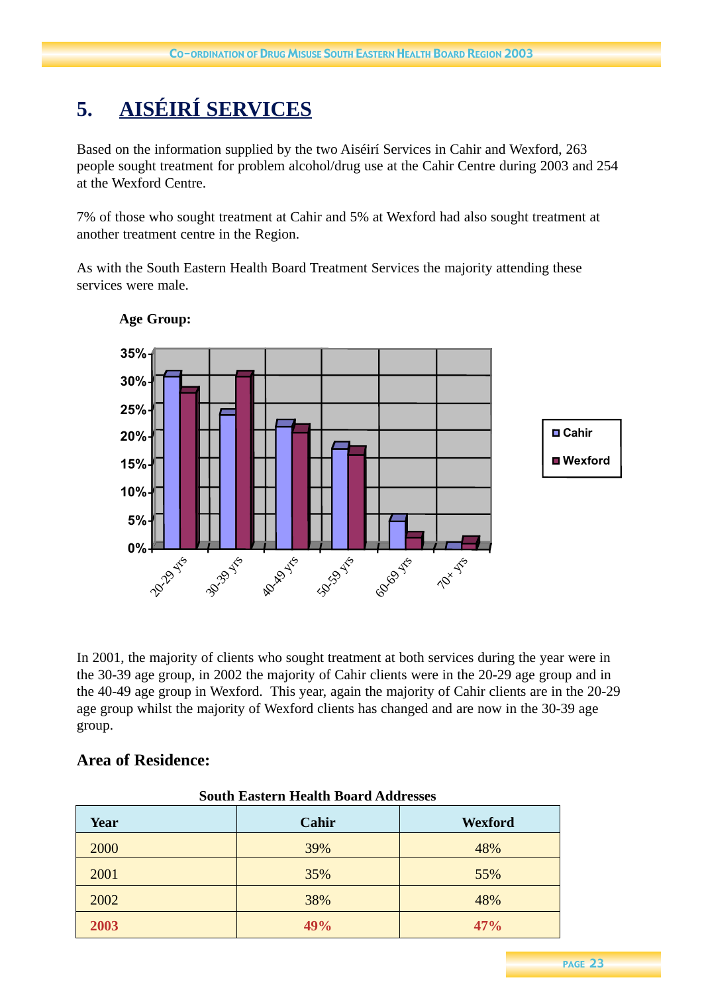## **5. AISÉIRÍ SERVICES**

Based on the information supplied by the two Aiséirí Services in Cahir and Wexford, 263 people sought treatment for problem alcohol/drug use at the Cahir Centre during 2003 and 254 at the Wexford Centre.

7% of those who sought treatment at Cahir and 5% at Wexford had also sought treatment at another treatment centre in the Region.

As with the South Eastern Health Board Treatment Services the majority attending these services were male.



## **Age Group:**

In 2001, the majority of clients who sought treatment at both services during the year were in the 30-39 age group, in 2002 the majority of Cahir clients were in the 20-29 age group and in the 40-49 age group in Wexford. This year, again the majority of Cahir clients are in the 20-29 age group whilst the majority of Wexford clients has changed and are now in the 30-39 age group.

## **Area of Residence:**

| south Eastern Health Doard Audresses |       |         |  |
|--------------------------------------|-------|---------|--|
| Year                                 | Cahir | Wexford |  |
| 2000                                 | 39%   | 48%     |  |
| 2001                                 | 35%   | 55%     |  |
| 2002                                 | 38%   | 48%     |  |
| 2003                                 | 49%   | 47%     |  |

#### **South Eastern Health Board Addresses**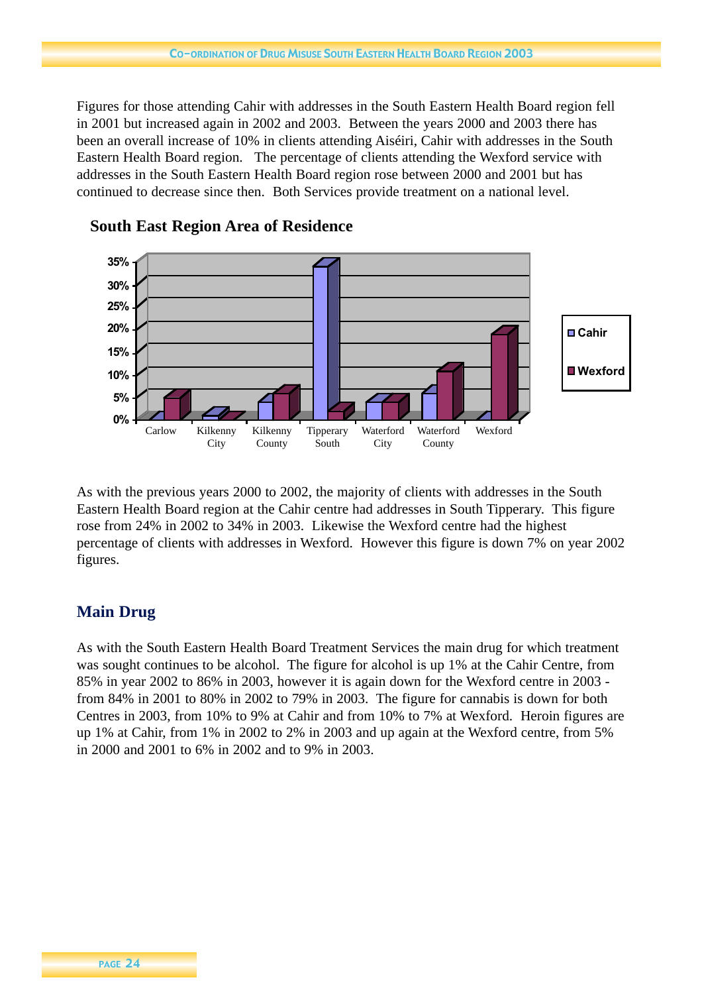Figures for those attending Cahir with addresses in the South Eastern Health Board region fell in 2001 but increased again in 2002 and 2003. Between the years 2000 and 2003 there has been an overall increase of 10% in clients attending Aiséiri, Cahir with addresses in the South Eastern Health Board region. The percentage of clients attending the Wexford service with addresses in the South Eastern Health Board region rose between 2000 and 2001 but has continued to decrease since then. Both Services provide treatment on a national level.



**South East Region Area of Residence**

As with the previous years 2000 to 2002, the majority of clients with addresses in the South Eastern Health Board region at the Cahir centre had addresses in South Tipperary. This figure rose from 24% in 2002 to 34% in 2003. Likewise the Wexford centre had the highest percentage of clients with addresses in Wexford. However this figure is down 7% on year 2002 figures.

## **Main Drug**

As with the South Eastern Health Board Treatment Services the main drug for which treatment was sought continues to be alcohol. The figure for alcohol is up 1% at the Cahir Centre, from 85% in year 2002 to 86% in 2003, however it is again down for the Wexford centre in 2003 from 84% in 2001 to 80% in 2002 to 79% in 2003. The figure for cannabis is down for both Centres in 2003, from 10% to 9% at Cahir and from 10% to 7% at Wexford. Heroin figures are up 1% at Cahir, from 1% in 2002 to 2% in 2003 and up again at the Wexford centre, from 5% in 2000 and 2001 to 6% in 2002 and to 9% in 2003.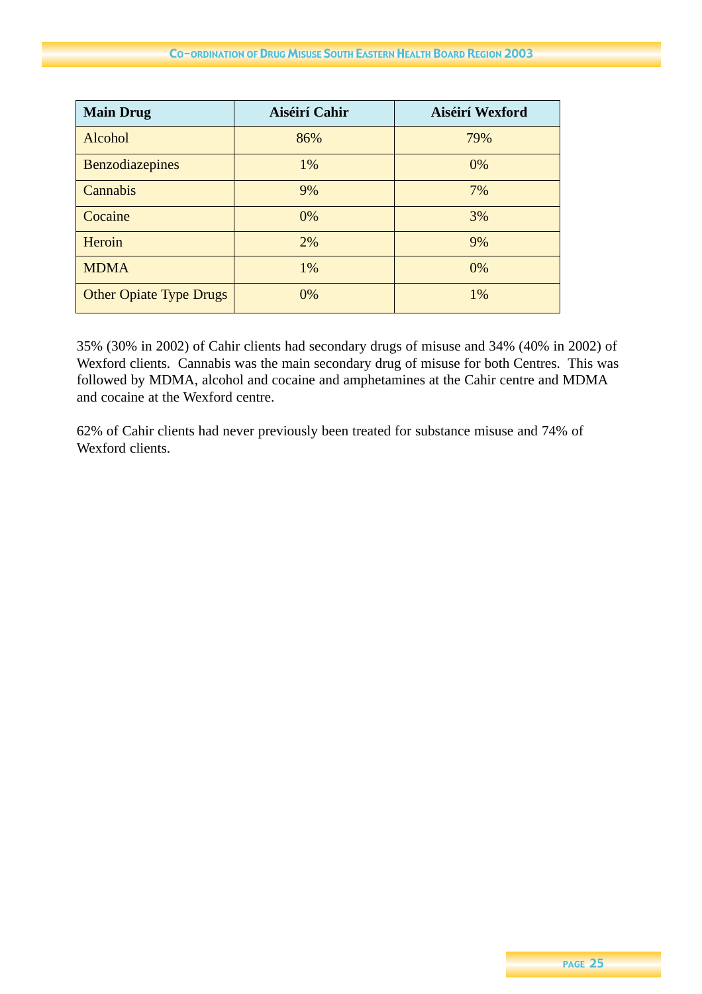| <b>Main Drug</b>               | Aiséirí Cahir | Aiséirí Wexford |
|--------------------------------|---------------|-----------------|
| Alcohol                        | 86%           | 79%             |
| <b>Benzodiazepines</b>         | 1%            | 0%              |
| Cannabis                       | 9%            | 7%              |
| Cocaine                        | 0%            | 3%              |
| Heroin                         | 2%            | 9%              |
| <b>MDMA</b>                    | 1%            | 0%              |
| <b>Other Opiate Type Drugs</b> | 0%            | 1%              |

35% (30% in 2002) of Cahir clients had secondary drugs of misuse and 34% (40% in 2002) of Wexford clients. Cannabis was the main secondary drug of misuse for both Centres. This was followed by MDMA, alcohol and cocaine and amphetamines at the Cahir centre and MDMA and cocaine at the Wexford centre.

62% of Cahir clients had never previously been treated for substance misuse and 74% of Wexford clients.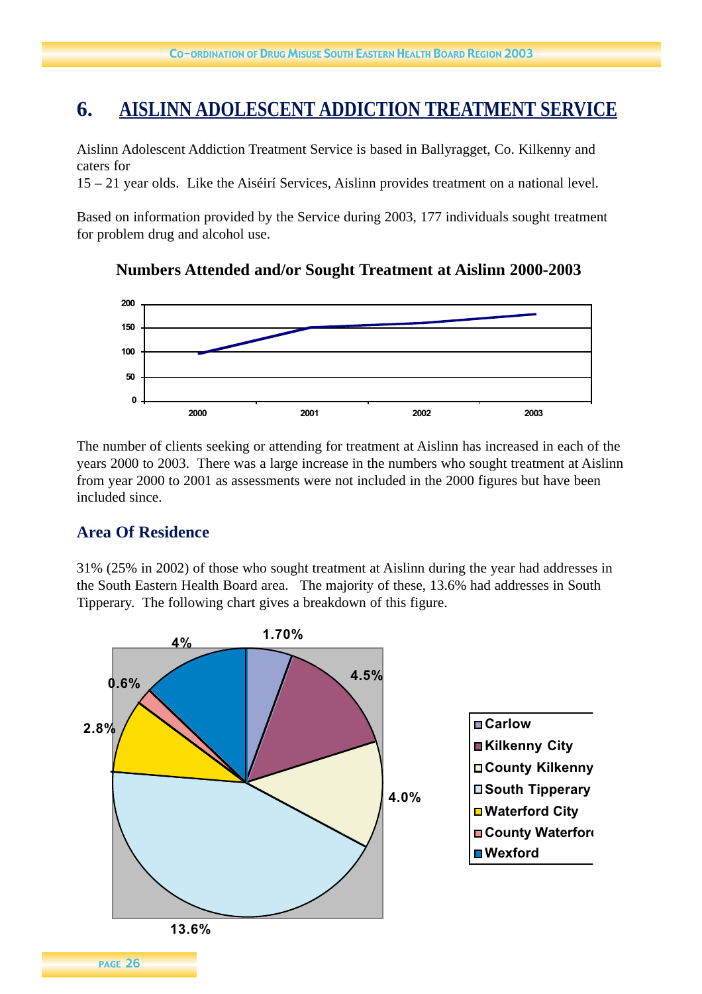## **6. AISLINN ADOLESCENT ADDICTION TREATMENT SERVICE**

Aislinn Adolescent Addiction Treatment Service is based in Ballyragget, Co. Kilkenny and caters for

15 – 21 year olds. Like the Aiséirí Services, Aislinn provides treatment on a national level.

Based on information provided by the Service during 2003, 177 individuals sought treatment for problem drug and alcohol use.

#### $\mathbf{r}$  because the problem drug and alcohol use. **Numbers Attended and/or Sought Treatment at Aislinn 2000-2003**



The number of clients seeking or attending for treatment at Aislinn has increased in each of the years 2000 to 2003. There was a large increase in the numbers who sought treatment at Aislinn from year 2000 to 2001 as assessments were not included in the 2000 figures but have been included since.

## **Area Of Residence**

31% (25% in 2002) of those who sought treatment at Aislinn during the year had addresses in the South Eastern Health Board area. The majority of these, 13.6% had addresses in South Tipperary. The following chart gives a breakdown of this figure.

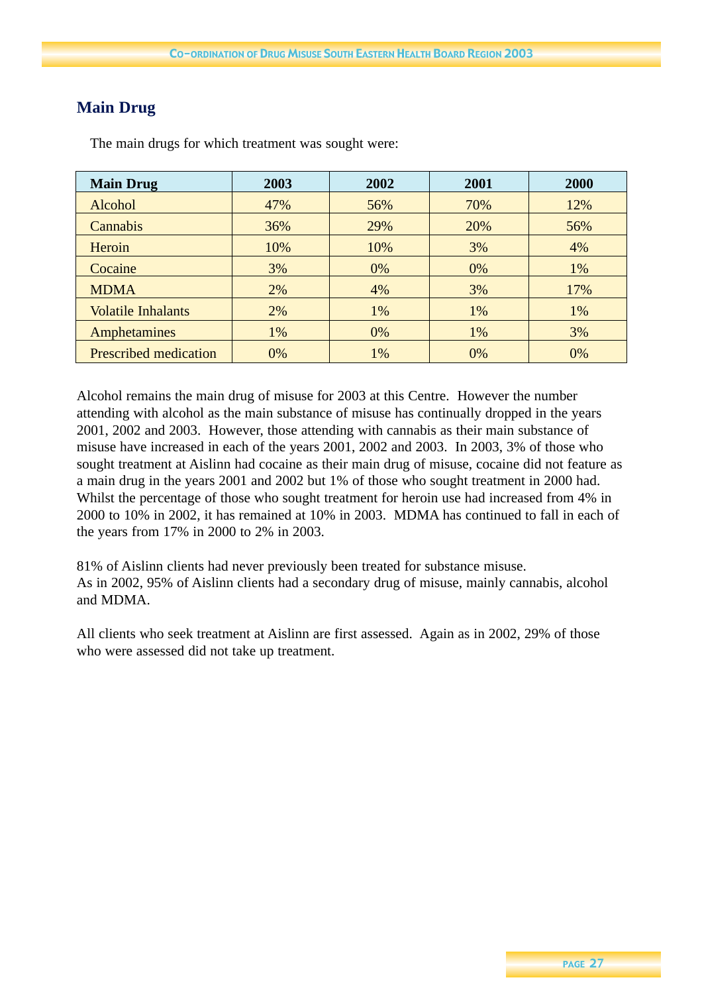## **Main Drug**

| <b>Main Drug</b>             | 2003 | 2002 | 2001 | 2000 |
|------------------------------|------|------|------|------|
| Alcohol                      | 47%  | 56%  | 70%  | 12%  |
| Cannabis                     | 36%  | 29%  | 20%  | 56%  |
| Heroin                       | 10%  | 10%  | 3%   | 4%   |
| Cocaine                      | 3%   | 0%   | 0%   | 1%   |
| <b>MDMA</b>                  | 2%   | 4%   | 3%   | 17%  |
| <b>Volatile Inhalants</b>    | 2%   | 1%   | 1%   | 1%   |
| <b>Amphetamines</b>          | 1%   | 0%   | 1%   | 3%   |
| <b>Prescribed medication</b> | 0%   | 1%   | 0%   | 0%   |

The main drugs for which treatment was sought were:

Alcohol remains the main drug of misuse for 2003 at this Centre. However the number attending with alcohol as the main substance of misuse has continually dropped in the years 2001, 2002 and 2003. However, those attending with cannabis as their main substance of misuse have increased in each of the years 2001, 2002 and 2003. In 2003, 3% of those who sought treatment at Aislinn had cocaine as their main drug of misuse, cocaine did not feature as a main drug in the years 2001 and 2002 but 1% of those who sought treatment in 2000 had. Whilst the percentage of those who sought treatment for heroin use had increased from 4% in 2000 to 10% in 2002, it has remained at 10% in 2003. MDMA has continued to fall in each of the years from 17% in 2000 to 2% in 2003.

81% of Aislinn clients had never previously been treated for substance misuse. As in 2002, 95% of Aislinn clients had a secondary drug of misuse, mainly cannabis, alcohol and MDMA.

All clients who seek treatment at Aislinn are first assessed. Again as in 2002, 29% of those who were assessed did not take up treatment.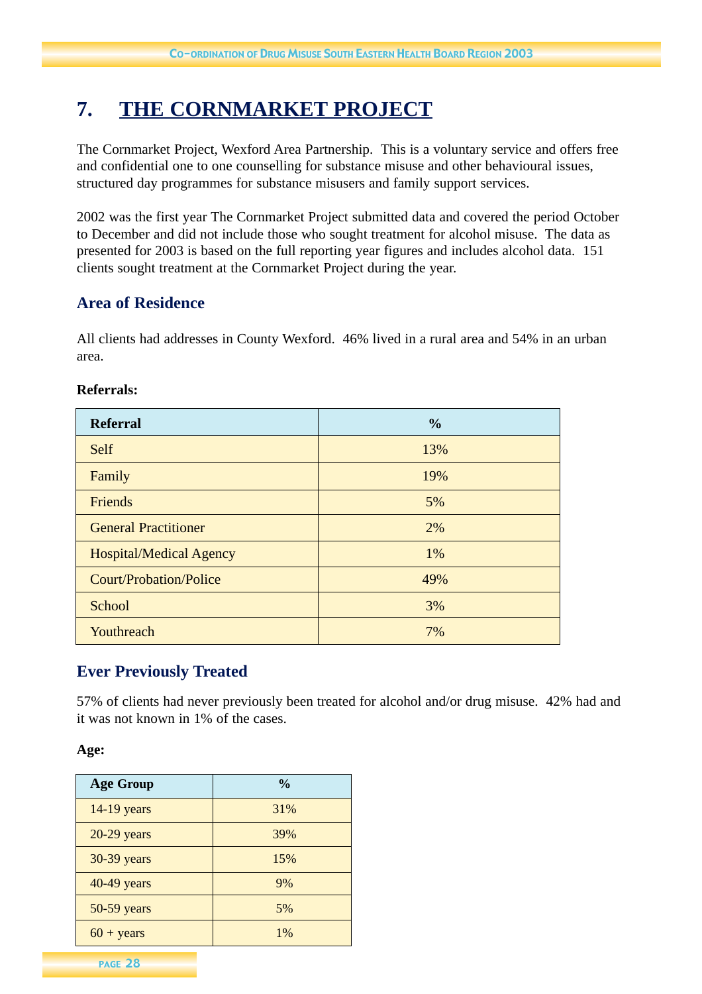## **7. THE CORNMARKET PROJECT**

The Cornmarket Project, Wexford Area Partnership. This is a voluntary service and offers free and confidential one to one counselling for substance misuse and other behavioural issues, structured day programmes for substance misusers and family support services.

2002 was the first year The Cornmarket Project submitted data and covered the period October to December and did not include those who sought treatment for alcohol misuse. The data as presented for 2003 is based on the full reporting year figures and includes alcohol data. 151 clients sought treatment at the Cornmarket Project during the year.

## **Area of Residence**

All clients had addresses in County Wexford. 46% lived in a rural area and 54% in an urban area.

| <b>Referral</b>                | $\frac{6}{6}$ |
|--------------------------------|---------------|
| <b>Self</b>                    | 13%           |
| Family                         | 19%           |
| Friends                        | 5%            |
| <b>General Practitioner</b>    | 2%            |
| <b>Hospital/Medical Agency</b> | 1%            |
| <b>Court/Probation/Police</b>  | 49%           |
| School                         | 3%            |
| Youthreach                     | 7%            |

#### **Referrals:**

## **Ever Previously Treated**

57% of clients had never previously been treated for alcohol and/or drug misuse. 42% had and it was not known in 1% of the cases.

**Age:**

| <b>Age Group</b>    | $\frac{0}{0}$ |
|---------------------|---------------|
| 14-19 years         | 31%           |
| $20-29$ years       | 39%           |
| 30-39 years         | 15%           |
| 40-49 years         | 9%            |
| 50-59 years         | 5%            |
| $60 + \text{years}$ | $1\%$         |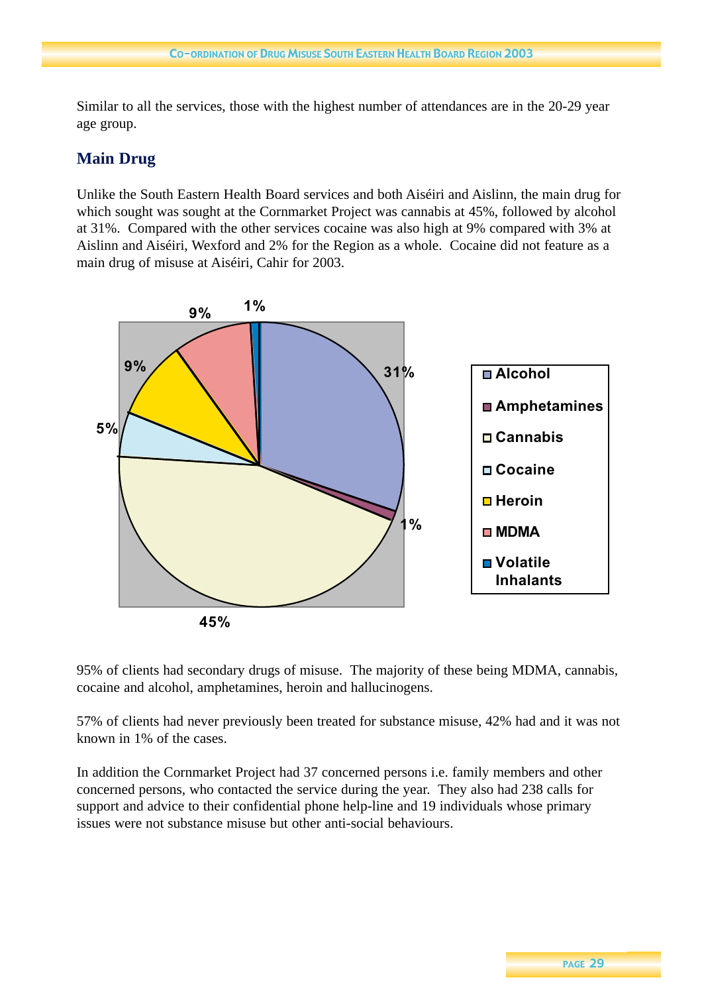Similar to all the services, those with the highest number of attendances are in the 20-29 year age group.

## **Main Drug**

Unlike the South Eastern Health Board services and both Aiséiri and Aislinn, the main drug for which sought was sought at the Cornmarket Project was cannabis at 45%, followed by alcohol at 31%. Compared with the other services cocaine was also high at 9% compared with 3% at Aislinn and Aiséiri, Wexford and 2% for the Region as a whole. Cocaine did not feature as a main drug of misuse at Aiséiri, Cahir for 2003.



95% of clients had secondary drugs of misuse. The majority of these being MDMA, cannabis, cocaine and alcohol, amphetamines, heroin and hallucinogens.

57% of clients had never previously been treated for substance misuse, 42% had and it was not known in 1% of the cases.

In addition the Cornmarket Project had 37 concerned persons i.e. family members and other concerned persons, who contacted the service during the year. They also had 238 calls for support and advice to their confidential phone help-line and 19 individuals whose primary issues were not substance misuse but other anti-social behaviours.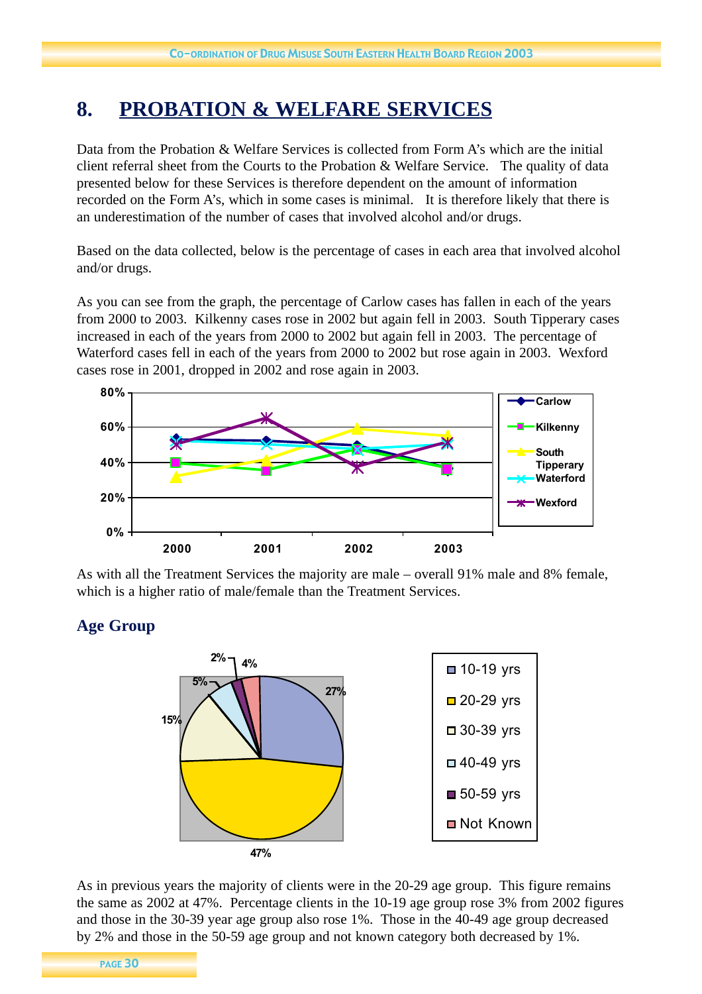## **8. PROBATION & WELFARE SERVICES**

Data from the Probation & Welfare Services is collected from Form A's which are the initial client referral sheet from the Courts to the Probation & Welfare Service. The quality of data presented below for these Services is therefore dependent on the amount of information recorded on the Form A's, which in some cases is minimal. It is therefore likely that there is an underestimation of the number of cases that involved alcohol and/or drugs.

Based on the data collected, below is the percentage of cases in each area that involved alcohol and/or drugs.

As you can see from the graph, the percentage of Carlow cases has fallen in each of the years from 2000 to 2003. Kilkenny cases rose in 2002 but again fell in 2003. South Tipperary cases increased in each of the years from 2000 to 2002 but again fell in 2003. The percentage of Waterford cases fell in each of the years from 2000 to 2002 but rose again in 2003. Wexford cases rose in 2001, dropped in 2002 and rose again in 2003.



As with all the Treatment Services the majority are male – overall 91% male and 8% female, which is a higher ratio of male/female than the Treatment Services.

## **Age Group**



As in previous years the majority of clients were in the 20-29 age group. This figure remains the same as 2002 at 47%. Percentage clients in the 10-19 age group rose 3% from 2002 figures and those in the 30-39 year age group also rose 1%. Those in the 40-49 age group decreased by 2% and those in the 50-59 age group and not known category both decreased by 1%.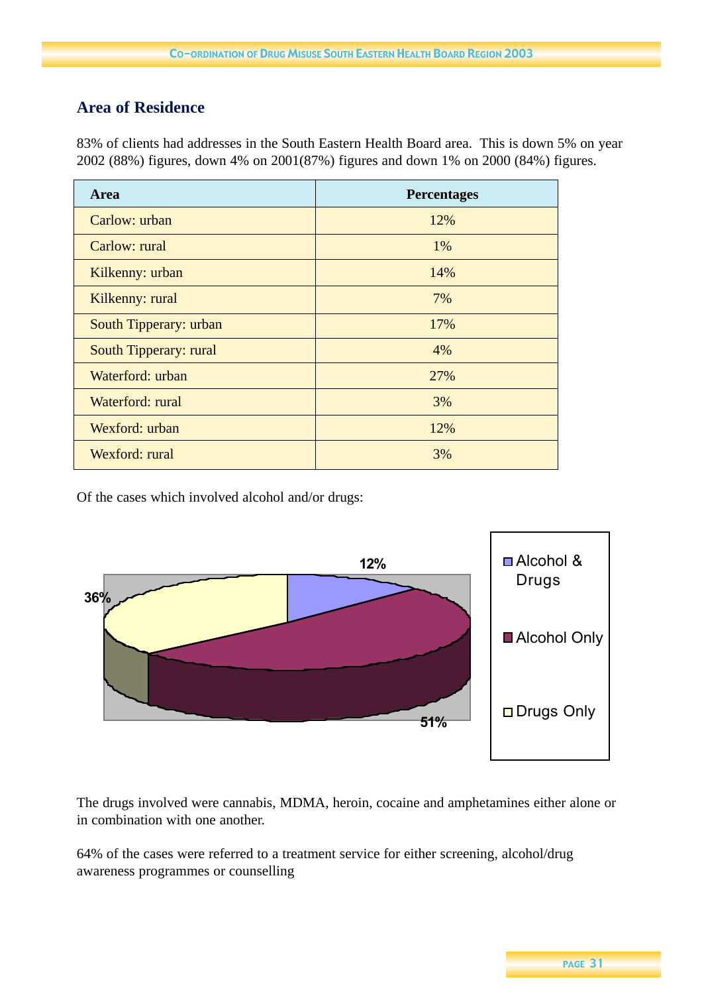## **Area of Residence**

83% of clients had addresses in the South Eastern Health Board area. This is down 5% on year 2002 (88%) figures, down 4% on 2001(87%) figures and down 1% on 2000 (84%) figures.

| <b>Area</b>            | <b>Percentages</b> |
|------------------------|--------------------|
| Carlow: urban          | 12%                |
| Carlow: rural          | $1\%$              |
| Kilkenny: urban        | 14%                |
| Kilkenny: rural        | 7%                 |
| South Tipperary: urban | 17%                |
| South Tipperary: rural | 4%                 |
| Waterford: urban       | 27%                |
| Waterford: rural       | 3%                 |
| Wexford: urban         | 12%                |
| Wexford: rural         | 3%                 |

Of the cases which involved alcohol and/or drugs:



The drugs involved were cannabis, MDMA, heroin, cocaine and amphetamines either alone or in combination with one another.

64% of the cases were referred to a treatment service for either screening, alcohol/drug awareness programmes or counselling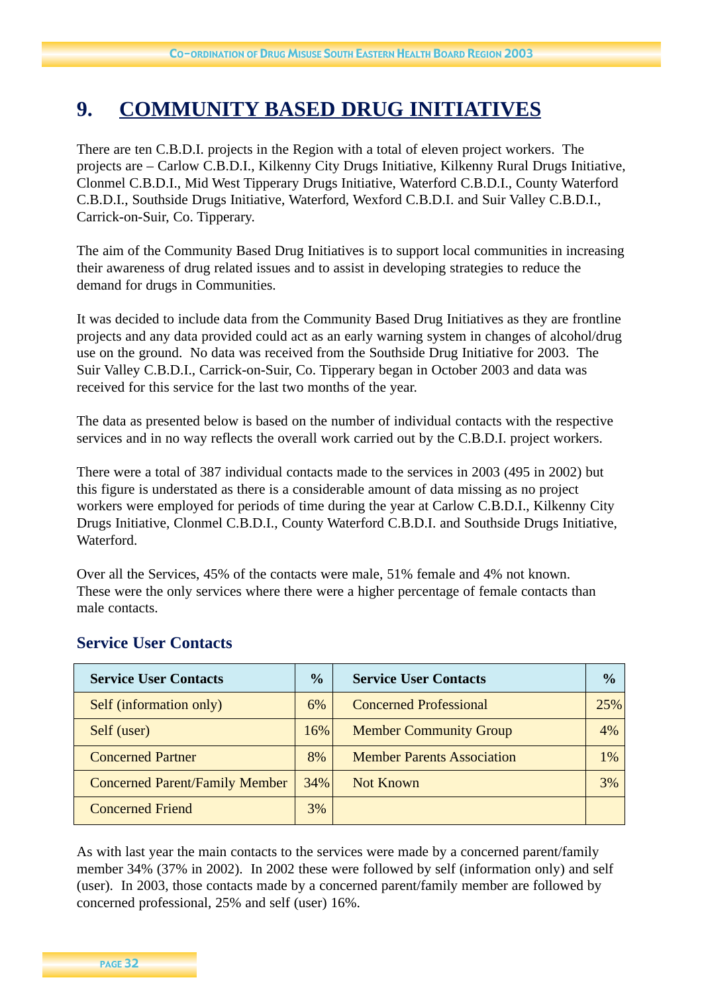## **9. COMMUNITY BASED DRUG INITIATIVES**

There are ten C.B.D.I. projects in the Region with a total of eleven project workers. The projects are – Carlow C.B.D.I., Kilkenny City Drugs Initiative, Kilkenny Rural Drugs Initiative, Clonmel C.B.D.I., Mid West Tipperary Drugs Initiative, Waterford C.B.D.I., County Waterford C.B.D.I., Southside Drugs Initiative, Waterford, Wexford C.B.D.I. and Suir Valley C.B.D.I., Carrick-on-Suir, Co. Tipperary.

The aim of the Community Based Drug Initiatives is to support local communities in increasing their awareness of drug related issues and to assist in developing strategies to reduce the demand for drugs in Communities.

It was decided to include data from the Community Based Drug Initiatives as they are frontline projects and any data provided could act as an early warning system in changes of alcohol/drug use on the ground. No data was received from the Southside Drug Initiative for 2003. The Suir Valley C.B.D.I., Carrick-on-Suir, Co. Tipperary began in October 2003 and data was received for this service for the last two months of the year.

The data as presented below is based on the number of individual contacts with the respective services and in no way reflects the overall work carried out by the C.B.D.I. project workers.

There were a total of 387 individual contacts made to the services in 2003 (495 in 2002) but this figure is understated as there is a considerable amount of data missing as no project workers were employed for periods of time during the year at Carlow C.B.D.I., Kilkenny City Drugs Initiative, Clonmel C.B.D.I., County Waterford C.B.D.I. and Southside Drugs Initiative, Waterford.

Over all the Services, 45% of the contacts were male, 51% female and 4% not known. These were the only services where there were a higher percentage of female contacts than male contacts.

| <b>Service User Contacts</b>          | $\frac{6}{9}$ | <b>Service User Contacts</b>      | $\frac{1}{2}$ |
|---------------------------------------|---------------|-----------------------------------|---------------|
| Self (information only)               | 6%            | <b>Concerned Professional</b>     | 25%           |
| Self (user)                           | 16%           | <b>Member Community Group</b>     | 4%            |
| <b>Concerned Partner</b>              | 8%            | <b>Member Parents Association</b> | 1%            |
| <b>Concerned Parent/Family Member</b> | 34%           | Not Known                         | 3%            |
| <b>Concerned Friend</b>               | 3%            |                                   |               |

## **Service User Contacts**

As with last year the main contacts to the services were made by a concerned parent/family member 34% (37% in 2002). In 2002 these were followed by self (information only) and self (user). In 2003, those contacts made by a concerned parent/family member are followed by concerned professional, 25% and self (user) 16%.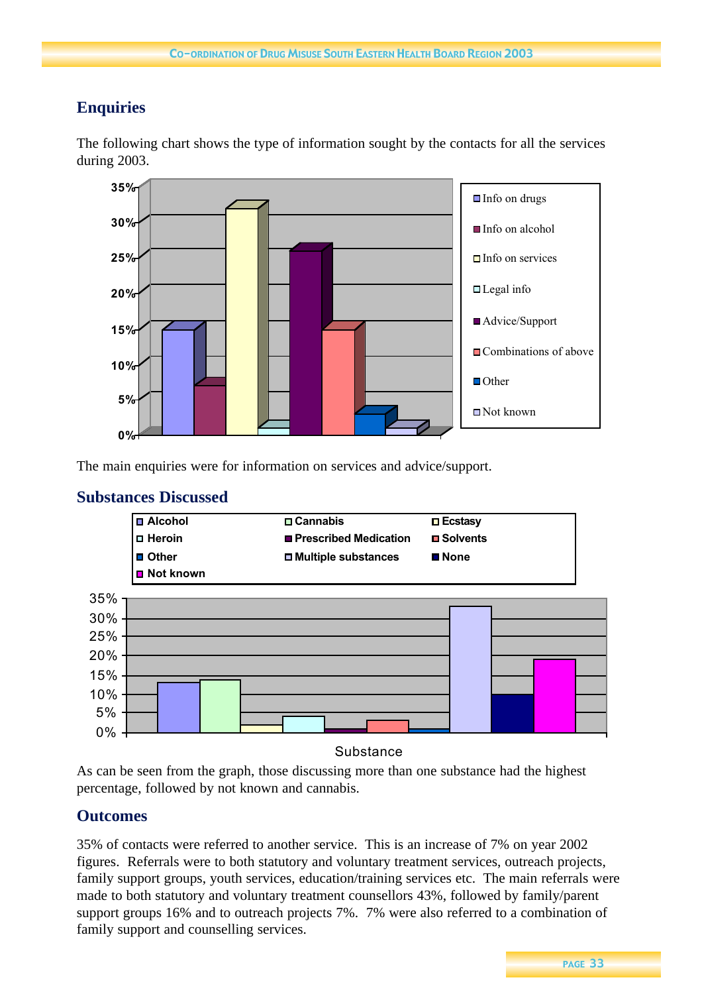## **Enquiries**

The following chart shows the type of information sought by the contacts for all the services during 2003.



The main enquiries were for information on services and advice/support.



## **Substances Discussed**

**Substance** 

As can be seen from the graph, those discussing more than one substance had the highest percentage, followed by not known and cannabis.

## **Outcomes**

35% of contacts were referred to another service. This is an increase of 7% on year 2002 figures. Referrals were to both statutory and voluntary treatment services, outreach projects, family support groups, youth services, education/training services etc. The main referrals were made to both statutory and voluntary treatment counsellors 43%, followed by family/parent support groups 16% and to outreach projects 7%. 7% were also referred to a combination of family support and counselling services.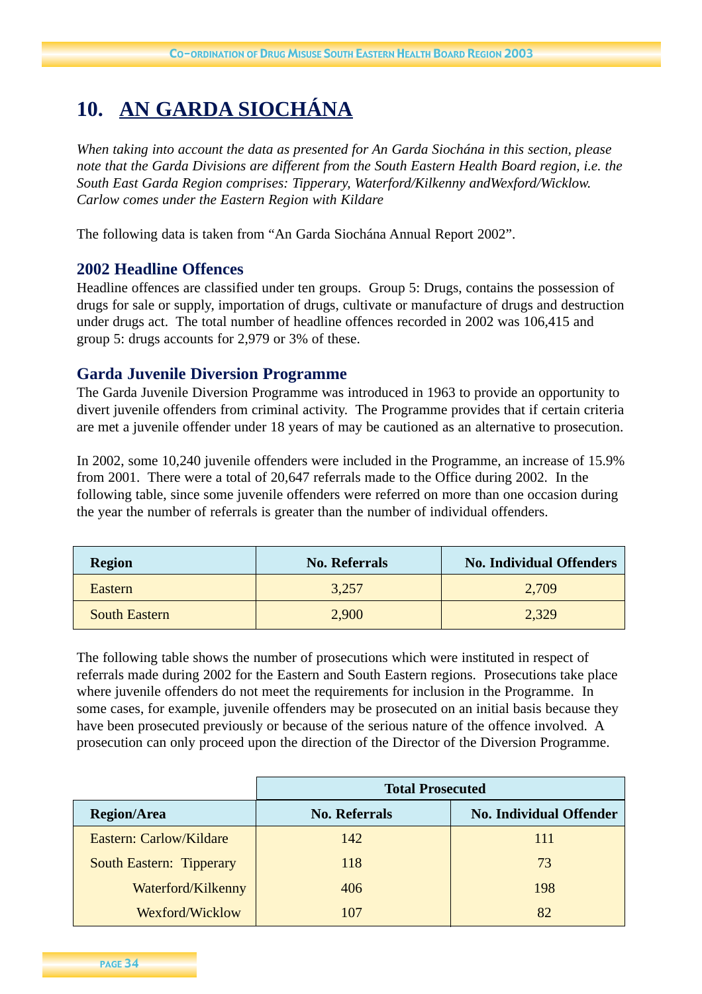## **10. AN GARDA SIOCHÁNA**

*When taking into account the data as presented for An Garda Siochána in this section, please note that the Garda Divisions are different from the South Eastern Health Board region, i.e. the South East Garda Region comprises: Tipperary, Waterford/Kilkenny andWexford/Wicklow. Carlow comes under the Eastern Region with Kildare*

The following data is taken from "An Garda Siochána Annual Report 2002".

## **2002 Headline Offences**

Headline offences are classified under ten groups. Group 5: Drugs, contains the possession of drugs for sale or supply, importation of drugs, cultivate or manufacture of drugs and destruction under drugs act. The total number of headline offences recorded in 2002 was 106,415 and group 5: drugs accounts for 2,979 or 3% of these.

#### **Garda Juvenile Diversion Programme**

The Garda Juvenile Diversion Programme was introduced in 1963 to provide an opportunity to divert juvenile offenders from criminal activity. The Programme provides that if certain criteria are met a juvenile offender under 18 years of may be cautioned as an alternative to prosecution.

In 2002, some 10,240 juvenile offenders were included in the Programme, an increase of 15.9% from 2001. There were a total of 20,647 referrals made to the Office during 2002. In the following table, since some juvenile offenders were referred on more than one occasion during the year the number of referrals is greater than the number of individual offenders.

| <b>Region</b>        | <b>No. Referrals</b> | <b>No. Individual Offenders</b> |
|----------------------|----------------------|---------------------------------|
| Eastern              | 3.257                | 2,709                           |
| <b>South Eastern</b> | 2,900                | 2,329                           |

The following table shows the number of prosecutions which were instituted in respect of referrals made during 2002 for the Eastern and South Eastern regions. Prosecutions take place where juvenile offenders do not meet the requirements for inclusion in the Programme. In some cases, for example, juvenile offenders may be prosecuted on an initial basis because they have been prosecuted previously or because of the serious nature of the offence involved. A prosecution can only proceed upon the direction of the Director of the Diversion Programme.

|                                 | <b>Total Prosecuted</b> |                                |  |
|---------------------------------|-------------------------|--------------------------------|--|
| <b>Region/Area</b>              | <b>No. Referrals</b>    | <b>No. Individual Offender</b> |  |
| Eastern: Carlow/Kildare         | 142                     | 111                            |  |
| <b>South Eastern: Tipperary</b> | 118                     | 73                             |  |
| Waterford/Kilkenny              | 406                     | 198                            |  |
| Wexford/Wicklow                 | 107                     | 82                             |  |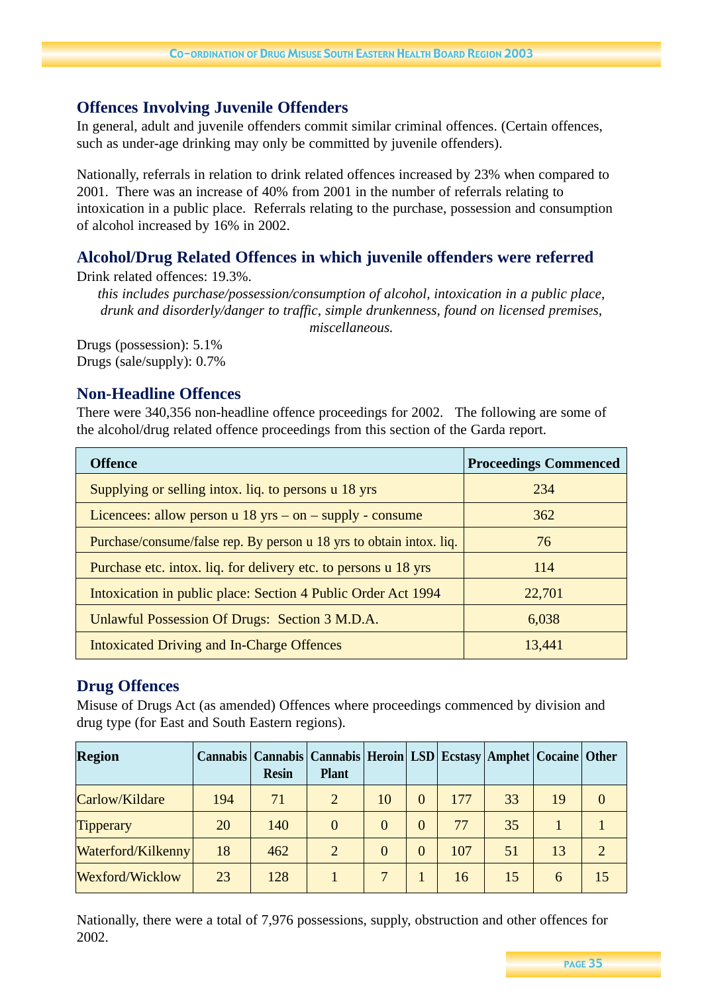## **Offences Involving Juvenile Offenders**

In general, adult and juvenile offenders commit similar criminal offences. (Certain offences, such as under-age drinking may only be committed by juvenile offenders).

Nationally, referrals in relation to drink related offences increased by 23% when compared to 2001. There was an increase of 40% from 2001 in the number of referrals relating to intoxication in a public place. Referrals relating to the purchase, possession and consumption of alcohol increased by 16% in 2002.

## **Alcohol/Drug Related Offences in which juvenile offenders were referred**

Drink related offences: 19.3%.

*this includes purchase/possession/consumption of alcohol, intoxication in a public place, drunk and disorderly/danger to traffic, simple drunkenness, found on licensed premises, miscellaneous.*

Drugs (possession): 5.1% Drugs (sale/supply): 0.7%

## **Non-Headline Offences**

There were 340,356 non-headline offence proceedings for 2002. The following are some of the alcohol/drug related offence proceedings from this section of the Garda report.

| <b>Offence</b>                                                       | <b>Proceedings Commenced</b> |
|----------------------------------------------------------------------|------------------------------|
| Supplying or selling intox. liq. to persons u 18 yrs                 | 234                          |
| Licencees: allow person $u$ 18 yrs – on – supply - consume           | 362                          |
| Purchase/consume/false rep. By person u 18 yrs to obtain intox. liq. | 76                           |
| Purchase etc. intox. liq. for delivery etc. to persons u 18 yrs.     | 114                          |
| Intoxication in public place: Section 4 Public Order Act 1994        | 22,701                       |
| Unlawful Possession Of Drugs: Section 3 M.D.A.                       | 6,038                        |
| Intoxicated Driving and In-Charge Offences                           | 13,441                       |

## **Drug Offences**

Misuse of Drugs Act (as amended) Offences where proceedings commenced by division and drug type (for East and South Eastern regions).

| <b>Region</b>      |     | <b>Resin</b> | Cannabis   Cannabis   Cannabis   Heroin   LSD   Ecstasy   Amphet   Cocaine   Other<br><b>Plant</b> |          |          |     |    |    |    |
|--------------------|-----|--------------|----------------------------------------------------------------------------------------------------|----------|----------|-----|----|----|----|
| Carlow/Kildare     | 194 | 71           | 2                                                                                                  | 10       | $\Omega$ | 177 | 33 | 19 |    |
| <b>Tipperary</b>   | 20  | 140          | $\Omega$                                                                                           | $\Omega$ | $\theta$ | 77  | 35 |    |    |
| Waterford/Kilkenny | 18  | 462          | 2                                                                                                  | $\Omega$ | $\Omega$ | 107 | 51 | 13 |    |
| Wexford/Wicklow    | 23  | 128          |                                                                                                    |          |          | 16  | 15 | 6  | 15 |

Nationally, there were a total of 7,976 possessions, supply, obstruction and other offences for 2002.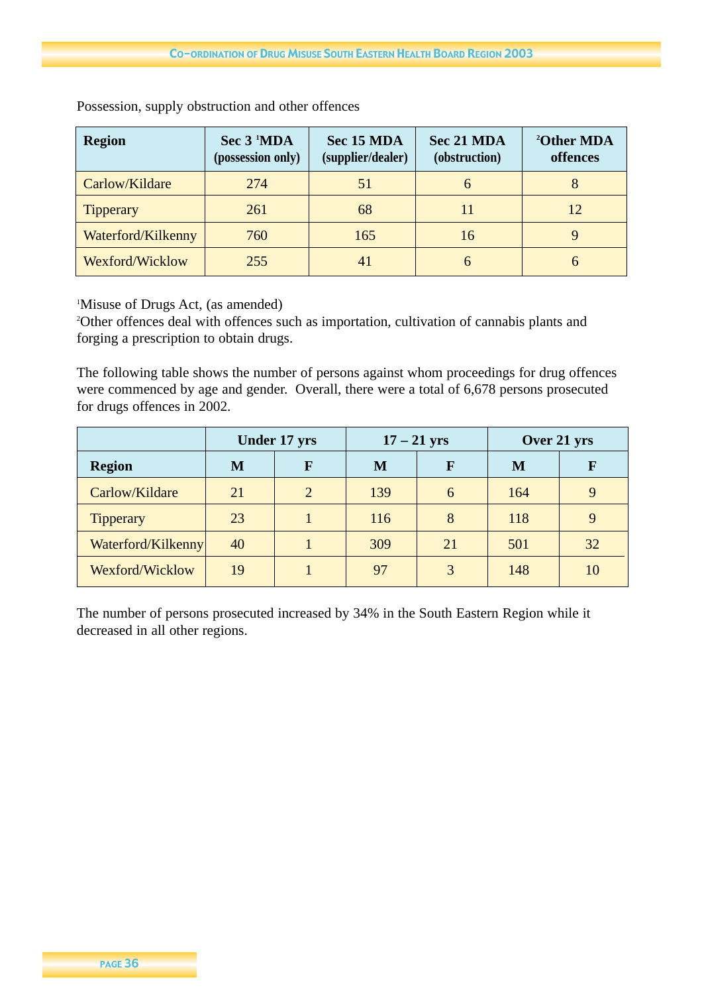| <b>Region</b>      | Sec 3 <sup>1</sup> MDA<br>(possession only) | Sec 15 MDA<br>(supplier/dealer) | Sec 21 MDA<br>(obstruction) | <sup>2</sup> Other MDA<br>offences |
|--------------------|---------------------------------------------|---------------------------------|-----------------------------|------------------------------------|
| Carlow/Kildare     | 274                                         | 51                              | h                           |                                    |
| Tipperary          | 261                                         | 68                              |                             | 12                                 |
| Waterford/Kilkenny | 760                                         | 165                             | 16                          |                                    |
| Wexford/Wicklow    | 255                                         | $\Delta$                        | h                           | h                                  |

Possession, supply obstruction and other offences

1 Misuse of Drugs Act, (as amended)

2 Other offences deal with offences such as importation, cultivation of cannabis plants and forging a prescription to obtain drugs.

The following table shows the number of persons against whom proceedings for drug offences were commenced by age and gender. Overall, there were a total of 6,678 persons prosecuted for drugs offences in 2002.

|                    | <b>Under 17 yrs</b> |   | $17 - 21$ yrs |    | Over 21 yrs |    |
|--------------------|---------------------|---|---------------|----|-------------|----|
| <b>Region</b>      | М                   | F | M             | F  | M           | R  |
| Carlow/Kildare     | 21                  | 2 | 139           | 6  | 164         | 9  |
| <b>Tipperary</b>   | 23                  |   | 116           | 8  | 118         | 9  |
| Waterford/Kilkenny | 40                  |   | 309           | 21 | 501         | 32 |
| Wexford/Wicklow    | 19                  |   | 97            | 3  | 148         | 10 |

The number of persons prosecuted increased by 34% in the South Eastern Region while it decreased in all other regions.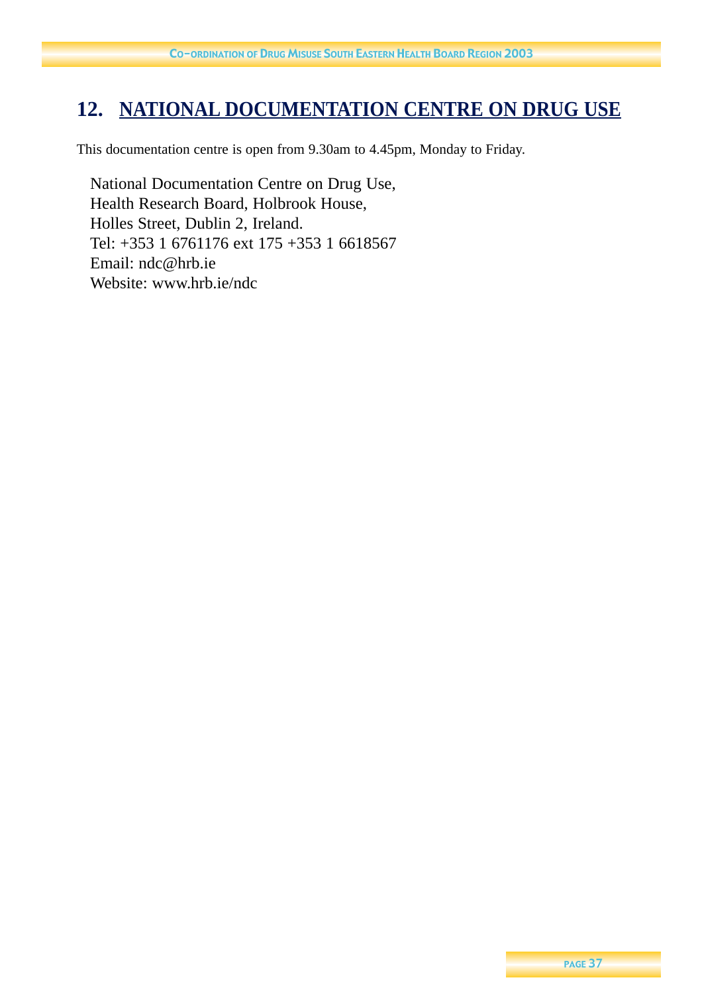## **12. NATIONAL DOCUMENTATION CENTRE ON DRUG USE**

This documentation centre is open from 9.30am to 4.45pm, Monday to Friday.

National Documentation Centre on Drug Use, Health Research Board, Holbrook House, Holles Street, Dublin 2, Ireland. Tel: +353 1 6761176 ext 175 +353 1 6618567 Email: ndc@hrb.ie Website: www.hrb.ie/ndc